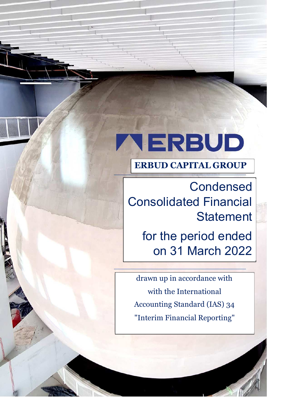# **VERBUD ERBUD CAPITAL GROUP**

Separate Financial Statement as of 31 December 2021 *('000 PLN, unless specified otherwise)*

**Condensed** Consolidated Financial **Statement** 

> for the period ended on 31 March 2022

drawn up in accordance with with the International Accounting Standard (IAS) 34 "Interim Financial Reporting"

 $\overline{a}$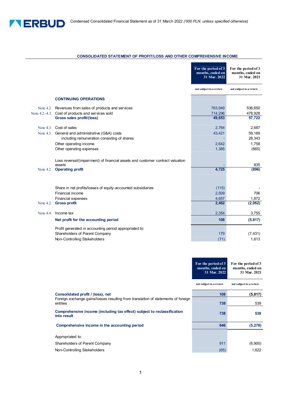

# **CONSOLIDATED STATEMENT OF PROFIT/LOSS AND OTHER COMPREHENSIVE INCOME**

|                                                                                          | For the period of 3<br>months, ended on<br>31 Mar. 2022 | For the period of 3<br>months, ended on<br>31 Mar. 2021 |
|------------------------------------------------------------------------------------------|---------------------------------------------------------|---------------------------------------------------------|
|                                                                                          | not subject to a review                                 | not subject to a review                                 |
| <b>CONTINUING OPERATIONS</b>                                                             |                                                         |                                                         |
| Note 4.2. Revenues from sales of products and services                                   | 763,949                                                 | 536,650                                                 |
| Note 4.2.-4.3. Cost of products and services sold                                        | 714,296                                                 | 478,928                                                 |
| Gross sales profit/(loss)                                                                | 49,653                                                  | 57,722                                                  |
| Note 4.3. Cost of sales                                                                  | 2,764                                                   | 2,687                                                   |
| Note 4.3. General and administrative (G&A) costs                                         | 43,421                                                  | 59,189                                                  |
| including remuneration consisting of shares                                              |                                                         | 28,343                                                  |
| Other operating income                                                                   | 2,642                                                   | 1,758                                                   |
| Other operating expenses                                                                 | 1,385                                                   | (665)                                                   |
| Loss reversal/(impairment) of financial assets and customer contract valuation<br>assets |                                                         | 835                                                     |
| Note 4.2. Operating profit                                                               | 4,725                                                   | (896)                                                   |
|                                                                                          |                                                         |                                                         |
| Share in net profits/losses of equity-accounted subsidiaries                             | (115)                                                   |                                                         |
| Financial income                                                                         | 2,509                                                   | 706                                                     |
| Financial expenses<br>Note 4.2. Gross profit                                             | 4.657<br>2,462                                          | 1.872<br>(2,062)                                        |
|                                                                                          |                                                         |                                                         |
| Note 4.4. Income tax                                                                     | 2,354                                                   | 3,755                                                   |
| Net profit for the accounting period                                                     | 108                                                     | (5, 817)                                                |
| Profit generated in accounting period appropriated to:                                   |                                                         |                                                         |
| Shareholders of Parent Company                                                           | 179                                                     | (7, 431)                                                |
| Non-Controlling Stakeholders                                                             | (71)                                                    | 1,613                                                   |
|                                                                                          |                                                         |                                                         |

|                                                                                               | For the period of 3<br>months, ended on<br>31 Mar. 2022 | For the period of 3<br>months, ended on<br>31 Mar. 2021 |
|-----------------------------------------------------------------------------------------------|---------------------------------------------------------|---------------------------------------------------------|
|                                                                                               | not subject to a review                                 | not subject to a review                                 |
| Consolidated profit / (loss), net                                                             | 108                                                     | (5, 817)                                                |
| Foreign exchange gains/losses resulting from translation of statements of foreign<br>entities | 738                                                     | 539                                                     |
| Comprehensive income (including tax effect) subject to reclassification<br>into result        | 738                                                     | 539                                                     |
| Comprehensive income in the accounting period                                                 | 846                                                     | (5, 278)                                                |
| Appropriated to:                                                                              |                                                         |                                                         |
| Shareholders of Parent Company                                                                | 911                                                     | (6,900)                                                 |
| Non-Controlling Stakeholders                                                                  | (65)                                                    | 1,622                                                   |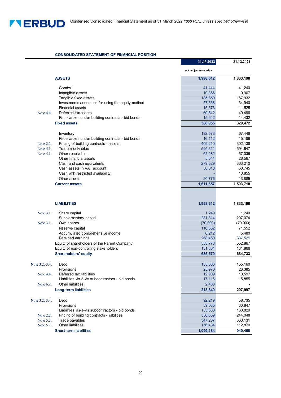

# **CONSOLIDATED STATEMENT OF FINANCIAL POSITION**

| not subject to a review<br>1,833,190<br><b>ASSETS</b><br>1,998,612<br>Goodwill<br>41,444<br>41,240<br>10,366<br>9,907<br>Intangible assets<br>167,932<br>Tangible fixed assets<br>185,850<br>Investments accounted for using the equity method<br>57,538<br>34,940<br><b>Financial assets</b><br>15,573<br>11,525<br>Note 4.4.<br>Deferred tax assets<br>60,542<br>49,496<br>15,642<br>Receivables under building contracts - bid bonds<br>14,432<br><b>Fixed assets</b><br>386,955<br>329,472<br>192,578<br>67,446<br>Inventory<br>Receivables under building contracts - bid bonds<br>16,112<br>15,189<br>409,210<br>Note 2.2.<br>Pricing of building contracts - assets<br>302,138<br>Trade receivables<br>Note 5.1.<br>595,611<br>594,647<br>62,282<br>Note 5.1.<br>Other receivables<br>57,036<br>5,541<br>28,567<br>Other financial assets<br>363,210<br>Cash and cash equivalents<br>279,529<br>Cash assets in VAT account<br>30,018<br>50,745<br>10,855<br>Cash with restricted availability.<br>13,885<br>Other assets<br>20,776<br>1,611,657<br>1,503,718<br><b>Current assets</b><br><b>LIABILITIES</b><br>1,998,612<br>1,833,190<br>Note 3.1.<br>1,240<br>1,240<br>Share capital<br>Supplementary capital<br>231,314<br>207,074<br>Note 3.1.<br>Own shares<br>(70,000)<br>(70,000)<br>116,552<br>71,552<br>Reserve capital<br>Accumulated comprehensive income<br>6,212<br>5,480<br>268,460<br>337,521<br>Retained earnings<br>Equity of shareholders of the Parent Company<br>552,867<br>553,778<br>Equity of non-controlling stakeholders<br>131,801<br>131,866<br><b>Shareholders' equity</b><br>684,733<br>685,579<br>Debt<br>Note 3.2.-3.4.<br>155,366<br>155,160<br>26,385<br>Provisions<br>25,970<br>10,597<br>Deferred tax liabilities<br>12,909<br>Note 4.4.<br>15,855<br>Liabilities vis-à-vis subcontractors - bid bonds<br>17,116<br>Other liabilities<br>2,488<br>Note 6.9.<br><b>Long-term liabilities</b><br>213,849<br>207,997<br>Debt<br>92,219<br>58,735<br>Note 3.2.-3.4.<br>39,085<br>30,847<br>Provisions<br>133,580<br>130,829<br>Liabilities vis-à-vis subcontractors - bid bonds<br>Note 2.2.<br>330,659<br>244,048<br>Pricing of building contracts - liabilities<br>Note 5.2.<br>Trade payables<br>347,207<br>363,131<br>Note 5.2.<br>Other liabilities<br>156,434<br>112,870<br><b>Short-term liabilities</b><br>1,099,184<br>940,460 |  | 31.03.2022 | 31.12.2021 |
|------------------------------------------------------------------------------------------------------------------------------------------------------------------------------------------------------------------------------------------------------------------------------------------------------------------------------------------------------------------------------------------------------------------------------------------------------------------------------------------------------------------------------------------------------------------------------------------------------------------------------------------------------------------------------------------------------------------------------------------------------------------------------------------------------------------------------------------------------------------------------------------------------------------------------------------------------------------------------------------------------------------------------------------------------------------------------------------------------------------------------------------------------------------------------------------------------------------------------------------------------------------------------------------------------------------------------------------------------------------------------------------------------------------------------------------------------------------------------------------------------------------------------------------------------------------------------------------------------------------------------------------------------------------------------------------------------------------------------------------------------------------------------------------------------------------------------------------------------------------------------------------------------------------------------------------------------------------------------------------------------------------------------------------------------------------------------------------------------------------------------------------------------------------------------------------------------------------------------------------------------------------------------------------------------------------------------------------------------------------------------|--|------------|------------|
|                                                                                                                                                                                                                                                                                                                                                                                                                                                                                                                                                                                                                                                                                                                                                                                                                                                                                                                                                                                                                                                                                                                                                                                                                                                                                                                                                                                                                                                                                                                                                                                                                                                                                                                                                                                                                                                                                                                                                                                                                                                                                                                                                                                                                                                                                                                                                                              |  |            |            |
|                                                                                                                                                                                                                                                                                                                                                                                                                                                                                                                                                                                                                                                                                                                                                                                                                                                                                                                                                                                                                                                                                                                                                                                                                                                                                                                                                                                                                                                                                                                                                                                                                                                                                                                                                                                                                                                                                                                                                                                                                                                                                                                                                                                                                                                                                                                                                                              |  |            |            |
|                                                                                                                                                                                                                                                                                                                                                                                                                                                                                                                                                                                                                                                                                                                                                                                                                                                                                                                                                                                                                                                                                                                                                                                                                                                                                                                                                                                                                                                                                                                                                                                                                                                                                                                                                                                                                                                                                                                                                                                                                                                                                                                                                                                                                                                                                                                                                                              |  |            |            |
|                                                                                                                                                                                                                                                                                                                                                                                                                                                                                                                                                                                                                                                                                                                                                                                                                                                                                                                                                                                                                                                                                                                                                                                                                                                                                                                                                                                                                                                                                                                                                                                                                                                                                                                                                                                                                                                                                                                                                                                                                                                                                                                                                                                                                                                                                                                                                                              |  |            |            |
|                                                                                                                                                                                                                                                                                                                                                                                                                                                                                                                                                                                                                                                                                                                                                                                                                                                                                                                                                                                                                                                                                                                                                                                                                                                                                                                                                                                                                                                                                                                                                                                                                                                                                                                                                                                                                                                                                                                                                                                                                                                                                                                                                                                                                                                                                                                                                                              |  |            |            |
|                                                                                                                                                                                                                                                                                                                                                                                                                                                                                                                                                                                                                                                                                                                                                                                                                                                                                                                                                                                                                                                                                                                                                                                                                                                                                                                                                                                                                                                                                                                                                                                                                                                                                                                                                                                                                                                                                                                                                                                                                                                                                                                                                                                                                                                                                                                                                                              |  |            |            |
|                                                                                                                                                                                                                                                                                                                                                                                                                                                                                                                                                                                                                                                                                                                                                                                                                                                                                                                                                                                                                                                                                                                                                                                                                                                                                                                                                                                                                                                                                                                                                                                                                                                                                                                                                                                                                                                                                                                                                                                                                                                                                                                                                                                                                                                                                                                                                                              |  |            |            |
|                                                                                                                                                                                                                                                                                                                                                                                                                                                                                                                                                                                                                                                                                                                                                                                                                                                                                                                                                                                                                                                                                                                                                                                                                                                                                                                                                                                                                                                                                                                                                                                                                                                                                                                                                                                                                                                                                                                                                                                                                                                                                                                                                                                                                                                                                                                                                                              |  |            |            |
|                                                                                                                                                                                                                                                                                                                                                                                                                                                                                                                                                                                                                                                                                                                                                                                                                                                                                                                                                                                                                                                                                                                                                                                                                                                                                                                                                                                                                                                                                                                                                                                                                                                                                                                                                                                                                                                                                                                                                                                                                                                                                                                                                                                                                                                                                                                                                                              |  |            |            |
|                                                                                                                                                                                                                                                                                                                                                                                                                                                                                                                                                                                                                                                                                                                                                                                                                                                                                                                                                                                                                                                                                                                                                                                                                                                                                                                                                                                                                                                                                                                                                                                                                                                                                                                                                                                                                                                                                                                                                                                                                                                                                                                                                                                                                                                                                                                                                                              |  |            |            |
|                                                                                                                                                                                                                                                                                                                                                                                                                                                                                                                                                                                                                                                                                                                                                                                                                                                                                                                                                                                                                                                                                                                                                                                                                                                                                                                                                                                                                                                                                                                                                                                                                                                                                                                                                                                                                                                                                                                                                                                                                                                                                                                                                                                                                                                                                                                                                                              |  |            |            |
|                                                                                                                                                                                                                                                                                                                                                                                                                                                                                                                                                                                                                                                                                                                                                                                                                                                                                                                                                                                                                                                                                                                                                                                                                                                                                                                                                                                                                                                                                                                                                                                                                                                                                                                                                                                                                                                                                                                                                                                                                                                                                                                                                                                                                                                                                                                                                                              |  |            |            |
|                                                                                                                                                                                                                                                                                                                                                                                                                                                                                                                                                                                                                                                                                                                                                                                                                                                                                                                                                                                                                                                                                                                                                                                                                                                                                                                                                                                                                                                                                                                                                                                                                                                                                                                                                                                                                                                                                                                                                                                                                                                                                                                                                                                                                                                                                                                                                                              |  |            |            |
|                                                                                                                                                                                                                                                                                                                                                                                                                                                                                                                                                                                                                                                                                                                                                                                                                                                                                                                                                                                                                                                                                                                                                                                                                                                                                                                                                                                                                                                                                                                                                                                                                                                                                                                                                                                                                                                                                                                                                                                                                                                                                                                                                                                                                                                                                                                                                                              |  |            |            |
|                                                                                                                                                                                                                                                                                                                                                                                                                                                                                                                                                                                                                                                                                                                                                                                                                                                                                                                                                                                                                                                                                                                                                                                                                                                                                                                                                                                                                                                                                                                                                                                                                                                                                                                                                                                                                                                                                                                                                                                                                                                                                                                                                                                                                                                                                                                                                                              |  |            |            |
|                                                                                                                                                                                                                                                                                                                                                                                                                                                                                                                                                                                                                                                                                                                                                                                                                                                                                                                                                                                                                                                                                                                                                                                                                                                                                                                                                                                                                                                                                                                                                                                                                                                                                                                                                                                                                                                                                                                                                                                                                                                                                                                                                                                                                                                                                                                                                                              |  |            |            |
|                                                                                                                                                                                                                                                                                                                                                                                                                                                                                                                                                                                                                                                                                                                                                                                                                                                                                                                                                                                                                                                                                                                                                                                                                                                                                                                                                                                                                                                                                                                                                                                                                                                                                                                                                                                                                                                                                                                                                                                                                                                                                                                                                                                                                                                                                                                                                                              |  |            |            |
|                                                                                                                                                                                                                                                                                                                                                                                                                                                                                                                                                                                                                                                                                                                                                                                                                                                                                                                                                                                                                                                                                                                                                                                                                                                                                                                                                                                                                                                                                                                                                                                                                                                                                                                                                                                                                                                                                                                                                                                                                                                                                                                                                                                                                                                                                                                                                                              |  |            |            |
|                                                                                                                                                                                                                                                                                                                                                                                                                                                                                                                                                                                                                                                                                                                                                                                                                                                                                                                                                                                                                                                                                                                                                                                                                                                                                                                                                                                                                                                                                                                                                                                                                                                                                                                                                                                                                                                                                                                                                                                                                                                                                                                                                                                                                                                                                                                                                                              |  |            |            |
|                                                                                                                                                                                                                                                                                                                                                                                                                                                                                                                                                                                                                                                                                                                                                                                                                                                                                                                                                                                                                                                                                                                                                                                                                                                                                                                                                                                                                                                                                                                                                                                                                                                                                                                                                                                                                                                                                                                                                                                                                                                                                                                                                                                                                                                                                                                                                                              |  |            |            |
|                                                                                                                                                                                                                                                                                                                                                                                                                                                                                                                                                                                                                                                                                                                                                                                                                                                                                                                                                                                                                                                                                                                                                                                                                                                                                                                                                                                                                                                                                                                                                                                                                                                                                                                                                                                                                                                                                                                                                                                                                                                                                                                                                                                                                                                                                                                                                                              |  |            |            |
|                                                                                                                                                                                                                                                                                                                                                                                                                                                                                                                                                                                                                                                                                                                                                                                                                                                                                                                                                                                                                                                                                                                                                                                                                                                                                                                                                                                                                                                                                                                                                                                                                                                                                                                                                                                                                                                                                                                                                                                                                                                                                                                                                                                                                                                                                                                                                                              |  |            |            |
|                                                                                                                                                                                                                                                                                                                                                                                                                                                                                                                                                                                                                                                                                                                                                                                                                                                                                                                                                                                                                                                                                                                                                                                                                                                                                                                                                                                                                                                                                                                                                                                                                                                                                                                                                                                                                                                                                                                                                                                                                                                                                                                                                                                                                                                                                                                                                                              |  |            |            |
|                                                                                                                                                                                                                                                                                                                                                                                                                                                                                                                                                                                                                                                                                                                                                                                                                                                                                                                                                                                                                                                                                                                                                                                                                                                                                                                                                                                                                                                                                                                                                                                                                                                                                                                                                                                                                                                                                                                                                                                                                                                                                                                                                                                                                                                                                                                                                                              |  |            |            |
|                                                                                                                                                                                                                                                                                                                                                                                                                                                                                                                                                                                                                                                                                                                                                                                                                                                                                                                                                                                                                                                                                                                                                                                                                                                                                                                                                                                                                                                                                                                                                                                                                                                                                                                                                                                                                                                                                                                                                                                                                                                                                                                                                                                                                                                                                                                                                                              |  |            |            |
|                                                                                                                                                                                                                                                                                                                                                                                                                                                                                                                                                                                                                                                                                                                                                                                                                                                                                                                                                                                                                                                                                                                                                                                                                                                                                                                                                                                                                                                                                                                                                                                                                                                                                                                                                                                                                                                                                                                                                                                                                                                                                                                                                                                                                                                                                                                                                                              |  |            |            |
|                                                                                                                                                                                                                                                                                                                                                                                                                                                                                                                                                                                                                                                                                                                                                                                                                                                                                                                                                                                                                                                                                                                                                                                                                                                                                                                                                                                                                                                                                                                                                                                                                                                                                                                                                                                                                                                                                                                                                                                                                                                                                                                                                                                                                                                                                                                                                                              |  |            |            |
|                                                                                                                                                                                                                                                                                                                                                                                                                                                                                                                                                                                                                                                                                                                                                                                                                                                                                                                                                                                                                                                                                                                                                                                                                                                                                                                                                                                                                                                                                                                                                                                                                                                                                                                                                                                                                                                                                                                                                                                                                                                                                                                                                                                                                                                                                                                                                                              |  |            |            |
|                                                                                                                                                                                                                                                                                                                                                                                                                                                                                                                                                                                                                                                                                                                                                                                                                                                                                                                                                                                                                                                                                                                                                                                                                                                                                                                                                                                                                                                                                                                                                                                                                                                                                                                                                                                                                                                                                                                                                                                                                                                                                                                                                                                                                                                                                                                                                                              |  |            |            |
|                                                                                                                                                                                                                                                                                                                                                                                                                                                                                                                                                                                                                                                                                                                                                                                                                                                                                                                                                                                                                                                                                                                                                                                                                                                                                                                                                                                                                                                                                                                                                                                                                                                                                                                                                                                                                                                                                                                                                                                                                                                                                                                                                                                                                                                                                                                                                                              |  |            |            |
|                                                                                                                                                                                                                                                                                                                                                                                                                                                                                                                                                                                                                                                                                                                                                                                                                                                                                                                                                                                                                                                                                                                                                                                                                                                                                                                                                                                                                                                                                                                                                                                                                                                                                                                                                                                                                                                                                                                                                                                                                                                                                                                                                                                                                                                                                                                                                                              |  |            |            |
|                                                                                                                                                                                                                                                                                                                                                                                                                                                                                                                                                                                                                                                                                                                                                                                                                                                                                                                                                                                                                                                                                                                                                                                                                                                                                                                                                                                                                                                                                                                                                                                                                                                                                                                                                                                                                                                                                                                                                                                                                                                                                                                                                                                                                                                                                                                                                                              |  |            |            |
|                                                                                                                                                                                                                                                                                                                                                                                                                                                                                                                                                                                                                                                                                                                                                                                                                                                                                                                                                                                                                                                                                                                                                                                                                                                                                                                                                                                                                                                                                                                                                                                                                                                                                                                                                                                                                                                                                                                                                                                                                                                                                                                                                                                                                                                                                                                                                                              |  |            |            |
|                                                                                                                                                                                                                                                                                                                                                                                                                                                                                                                                                                                                                                                                                                                                                                                                                                                                                                                                                                                                                                                                                                                                                                                                                                                                                                                                                                                                                                                                                                                                                                                                                                                                                                                                                                                                                                                                                                                                                                                                                                                                                                                                                                                                                                                                                                                                                                              |  |            |            |
|                                                                                                                                                                                                                                                                                                                                                                                                                                                                                                                                                                                                                                                                                                                                                                                                                                                                                                                                                                                                                                                                                                                                                                                                                                                                                                                                                                                                                                                                                                                                                                                                                                                                                                                                                                                                                                                                                                                                                                                                                                                                                                                                                                                                                                                                                                                                                                              |  |            |            |
|                                                                                                                                                                                                                                                                                                                                                                                                                                                                                                                                                                                                                                                                                                                                                                                                                                                                                                                                                                                                                                                                                                                                                                                                                                                                                                                                                                                                                                                                                                                                                                                                                                                                                                                                                                                                                                                                                                                                                                                                                                                                                                                                                                                                                                                                                                                                                                              |  |            |            |
|                                                                                                                                                                                                                                                                                                                                                                                                                                                                                                                                                                                                                                                                                                                                                                                                                                                                                                                                                                                                                                                                                                                                                                                                                                                                                                                                                                                                                                                                                                                                                                                                                                                                                                                                                                                                                                                                                                                                                                                                                                                                                                                                                                                                                                                                                                                                                                              |  |            |            |
|                                                                                                                                                                                                                                                                                                                                                                                                                                                                                                                                                                                                                                                                                                                                                                                                                                                                                                                                                                                                                                                                                                                                                                                                                                                                                                                                                                                                                                                                                                                                                                                                                                                                                                                                                                                                                                                                                                                                                                                                                                                                                                                                                                                                                                                                                                                                                                              |  |            |            |
|                                                                                                                                                                                                                                                                                                                                                                                                                                                                                                                                                                                                                                                                                                                                                                                                                                                                                                                                                                                                                                                                                                                                                                                                                                                                                                                                                                                                                                                                                                                                                                                                                                                                                                                                                                                                                                                                                                                                                                                                                                                                                                                                                                                                                                                                                                                                                                              |  |            |            |
|                                                                                                                                                                                                                                                                                                                                                                                                                                                                                                                                                                                                                                                                                                                                                                                                                                                                                                                                                                                                                                                                                                                                                                                                                                                                                                                                                                                                                                                                                                                                                                                                                                                                                                                                                                                                                                                                                                                                                                                                                                                                                                                                                                                                                                                                                                                                                                              |  |            |            |
|                                                                                                                                                                                                                                                                                                                                                                                                                                                                                                                                                                                                                                                                                                                                                                                                                                                                                                                                                                                                                                                                                                                                                                                                                                                                                                                                                                                                                                                                                                                                                                                                                                                                                                                                                                                                                                                                                                                                                                                                                                                                                                                                                                                                                                                                                                                                                                              |  |            |            |
|                                                                                                                                                                                                                                                                                                                                                                                                                                                                                                                                                                                                                                                                                                                                                                                                                                                                                                                                                                                                                                                                                                                                                                                                                                                                                                                                                                                                                                                                                                                                                                                                                                                                                                                                                                                                                                                                                                                                                                                                                                                                                                                                                                                                                                                                                                                                                                              |  |            |            |
|                                                                                                                                                                                                                                                                                                                                                                                                                                                                                                                                                                                                                                                                                                                                                                                                                                                                                                                                                                                                                                                                                                                                                                                                                                                                                                                                                                                                                                                                                                                                                                                                                                                                                                                                                                                                                                                                                                                                                                                                                                                                                                                                                                                                                                                                                                                                                                              |  |            |            |
|                                                                                                                                                                                                                                                                                                                                                                                                                                                                                                                                                                                                                                                                                                                                                                                                                                                                                                                                                                                                                                                                                                                                                                                                                                                                                                                                                                                                                                                                                                                                                                                                                                                                                                                                                                                                                                                                                                                                                                                                                                                                                                                                                                                                                                                                                                                                                                              |  |            |            |
|                                                                                                                                                                                                                                                                                                                                                                                                                                                                                                                                                                                                                                                                                                                                                                                                                                                                                                                                                                                                                                                                                                                                                                                                                                                                                                                                                                                                                                                                                                                                                                                                                                                                                                                                                                                                                                                                                                                                                                                                                                                                                                                                                                                                                                                                                                                                                                              |  |            |            |
|                                                                                                                                                                                                                                                                                                                                                                                                                                                                                                                                                                                                                                                                                                                                                                                                                                                                                                                                                                                                                                                                                                                                                                                                                                                                                                                                                                                                                                                                                                                                                                                                                                                                                                                                                                                                                                                                                                                                                                                                                                                                                                                                                                                                                                                                                                                                                                              |  |            |            |
|                                                                                                                                                                                                                                                                                                                                                                                                                                                                                                                                                                                                                                                                                                                                                                                                                                                                                                                                                                                                                                                                                                                                                                                                                                                                                                                                                                                                                                                                                                                                                                                                                                                                                                                                                                                                                                                                                                                                                                                                                                                                                                                                                                                                                                                                                                                                                                              |  |            |            |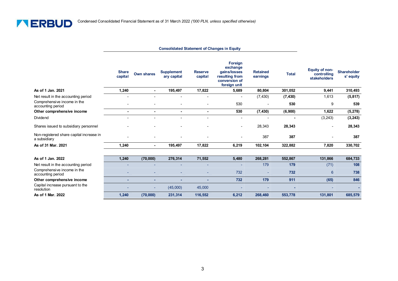

#### **Consolidated Statement of Changes in Equity**

|                                                          | <b>Share</b><br>capital | <b>Own shares</b> | <b>Supplement</b><br>ary capital | <b>Reserve</b><br>capital | Foreign<br>exchange<br>gains/losses<br>resulting from<br>conversion of<br>foreign unit | <b>Retained</b><br>earnings | <b>Total</b> | <b>Equity of non-</b><br>controlling<br>stakeholders | <b>Shareholder</b><br>s' equity |
|----------------------------------------------------------|-------------------------|-------------------|----------------------------------|---------------------------|----------------------------------------------------------------------------------------|-----------------------------|--------------|------------------------------------------------------|---------------------------------|
| As of 1 Jan. 2021                                        | 1,240                   | $\sim$            | 195,497                          | 17,822                    | 5,689                                                                                  | 80,804                      | 301,052      | 9,441                                                | 310,493                         |
| Net result in the accounting period                      |                         |                   |                                  |                           |                                                                                        | (7, 430)                    | (7, 430)     | 1,613                                                | (5, 817)                        |
| Comprehensive income in the<br>accounting period         |                         |                   |                                  |                           | 530                                                                                    | ٠                           | 530          | 9                                                    | 539                             |
| Other comprehensive income                               |                         | ٠                 | ٠                                | ۰                         | 530                                                                                    | (7, 430)                    | (6,900)      | 1,622                                                | (5, 278)                        |
| Dividend                                                 |                         |                   |                                  |                           | $\overline{\phantom{a}}$                                                               | $\blacksquare$              | ٠            | (3,243)                                              | (3, 243)                        |
| Shares issued to subsidiary personnel                    |                         |                   |                                  |                           | $\blacksquare$                                                                         | 28,343                      | 28,343       | ٠                                                    | 28,343                          |
| Non-registered share capital increase in<br>a subsidiary |                         |                   |                                  |                           | $\overline{\phantom{a}}$                                                               | 387                         | 387          |                                                      | 387                             |
| As of 31 Mar. 2021                                       | 1,240                   | $\blacksquare$    | 195,497                          | 17,822                    | 6,219                                                                                  | 102,104                     | 322,882      | 7,820                                                | 330,702                         |
|                                                          |                         |                   |                                  |                           |                                                                                        |                             |              |                                                      |                                 |
| As of 1 Jan. 2022                                        | 1,240                   | (70,000)          | 276,314                          | 71,552                    | 5,480                                                                                  | 268,281                     | 552,867      | 131,866                                              | 684,733                         |
| Net result in the accounting period                      |                         |                   |                                  |                           | ۰                                                                                      | 179                         | 179          | (71)                                                 | 108                             |
| Comprehensive income in the<br>accounting period         |                         |                   |                                  |                           | 732                                                                                    | ٠                           | 732          | 6                                                    | 738                             |
| Other comprehensive income                               | ٠                       | ٠                 | ٠                                | ٠                         | 732                                                                                    | 179                         | 911          | (65)                                                 | 846                             |
| Capital increase pursuant to the<br>resolution           |                         | ۰                 | (45,000)                         | 45,000                    |                                                                                        |                             | ٠            |                                                      |                                 |
| As of 1 Mar. 2022                                        | 1,240                   | (70,000)          | 231,314                          | 116,552                   | 6,212                                                                                  | 268,460                     | 553,778      | 131,801                                              | 685,579                         |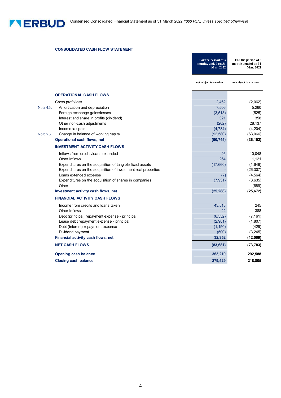# **CONSOLIDATED CASH FLOW STATEMENT**

|              |                                                               | For the period of 3<br>months, ended on 31<br><b>Mar. 2022</b> | For the period of 3<br>months, ended on 31<br>Mar. 2021 |
|--------------|---------------------------------------------------------------|----------------------------------------------------------------|---------------------------------------------------------|
|              |                                                               | not subject to a review                                        | not subject to a review                                 |
|              | <b>OPERATIONAL CASH FLOWS</b>                                 |                                                                |                                                         |
|              | Gross profit/loss                                             | 2,462                                                          | (2,062)                                                 |
| Note $4.3$ . | Amortization and depreciation                                 | 7,506                                                          | 5,260                                                   |
|              | Foreign exchange gains/losses                                 | (3, 518)                                                       | (525)                                                   |
|              | Interest and share in profits (dividend)                      | 321                                                            | 358                                                     |
|              | Other non-cash adjustments                                    | (202)                                                          | 28,137                                                  |
|              | Income tax paid                                               | (4, 734)                                                       | (4, 204)                                                |
| Note 5.3.    | Change in balance of working capital                          | (92, 580)                                                      | (63,066)                                                |
|              | <b>Operational cash flows, net</b>                            | (90, 745)                                                      | (36, 102)                                               |
|              | <b>INVESTMENT ACTIVITY CASH FLOWS</b>                         |                                                                |                                                         |
|              | Inflows from credits/loans extended                           | 46                                                             | 10,048                                                  |
|              | Other inflows                                                 | 264                                                            | 1,121                                                   |
|              | Expenditures on the acquisition of tangible fixed assets      | (17,660)                                                       | (1,646)                                                 |
|              | Expenditures on the acquisition of investment real properties |                                                                | (26, 307)                                               |
|              | Loans extended expense                                        | (7)                                                            | (4, 564)                                                |
|              | Expenditures on the acquisition of shares in companies        | (7, 931)                                                       | (3,635)                                                 |
|              | Other                                                         |                                                                | (689)                                                   |
|              | Investment activity cash flows, net                           | (25, 288)                                                      | (25, 672)                                               |
|              | <b>FINANCIAL ACTIVITY CASH FLOWS</b>                          |                                                                |                                                         |
|              | Income from credits and loans taken                           | 43,513                                                         | 245                                                     |
|              | Other inflows                                                 | 22                                                             | 388                                                     |
|              | Debt (principal) repayment expense - principal                | (6, 552)                                                       | (7, 161)                                                |
|              | Lease debt repayment expense - principal                      | (2,981)                                                        | (1,807)                                                 |
|              | Debt (interest) repayment expense                             | (1, 150)                                                       | (429)                                                   |
|              | Dividend payment                                              | (500)                                                          | (3, 245)                                                |
|              | Financial activity cash flows, net                            | 32,352                                                         | (12,009)                                                |
|              | <b>NET CASH FLOWS</b>                                         | (83, 681)                                                      | (73, 783)                                               |
|              | <b>Opening cash balance</b>                                   | 363,210                                                        | 292,588                                                 |
|              | <b>Closing cash balance</b>                                   | 279,529                                                        | 218,805                                                 |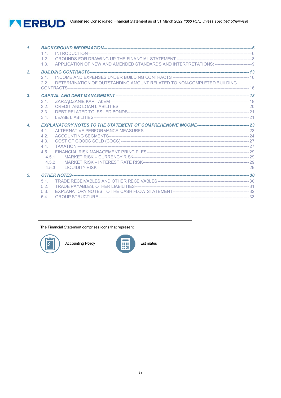

| $\mathbf{1}$   | 1.1.<br>1.2.                                                                       |  |
|----------------|------------------------------------------------------------------------------------|--|
|                | 1.3                                                                                |  |
| 2.             |                                                                                    |  |
|                | 21<br>DETERMINATION OF OUTSTANDING AMOUNT RELATED TO NON-COMPLETED BUILDING<br>2.2 |  |
|                |                                                                                    |  |
| 3.             |                                                                                    |  |
|                | $3.1 -$                                                                            |  |
|                | 3.2.                                                                               |  |
|                | 3.3.                                                                               |  |
|                | 3.4                                                                                |  |
| $\mathbf{4}$ . |                                                                                    |  |
|                | 4.1                                                                                |  |
|                | 4.2 <sub>1</sub>                                                                   |  |
|                | 4.3.                                                                               |  |
|                | 4.4.                                                                               |  |
|                | 4.5                                                                                |  |
|                | 4.5.1                                                                              |  |
|                | 4.5.2                                                                              |  |
|                | 4.5.3.                                                                             |  |
| 5.             |                                                                                    |  |
|                | 5.1                                                                                |  |
|                | 5.2.                                                                               |  |
|                | 5.3.                                                                               |  |
|                | 5.4.                                                                               |  |

The Financial Statement comprises icons that represent:



**Accounting Policy** 



Estimates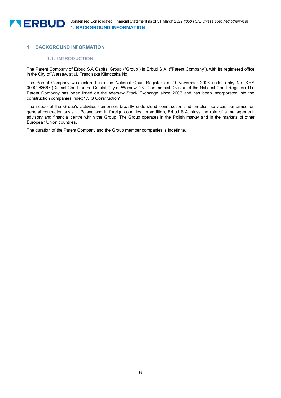

# **1. BACKGROUND INFORMATION**

# **1.1. INTRODUCTION**

The Parent Company of Erbud S.A Capital Group ("Group") is Erbud S.A. ("Parent Company"), with its registered office in the City of Warsaw, at ul. Franciszka Klimczaka No. 1.

The Parent Company was entered into the National Court Register on 29 November 2006 under entry No. KRS 0000268667 (District Court for the Capital City of Warsaw, 13<sup>th</sup> Commercial Division of the National Court Register) The Parent Company has been listed on the Warsaw Stock Exchange since 2007 and has been incorporated into the construction companies index "WIG Construction".

The scope of the Group's activities comprises broadly understood construction and erection services performed on general contractor basis in Poland and in foreign countries. In addition, Erbud S.A. plays the role of a management, advisory and financial centre within the Group. The Group operates in the Polish market and in the markets of other European Union countries.

The duration of the Parent Company and the Group member companies is indefinite.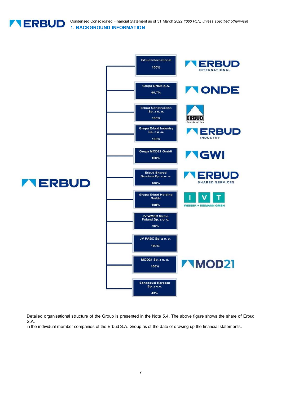

Condensed Consolidated Financial Statement as of 31 March 2022 *('000 PLN, unless specified otherwise)* **1. BACKGROUND INFORMATION** 



Detailed organisational structure of the Group is presented in the Note 5.4. The above figure shows the share of Erbud S.A.

in the individual member companies of the Erbud S.A. Group as of the date of drawing up the financial statements.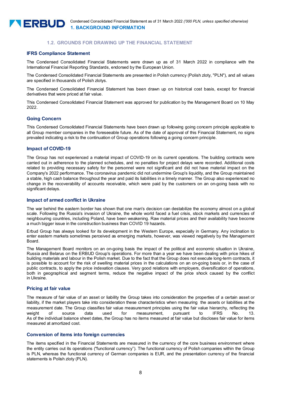# **1.2. GROUNDS FOR DRAWING UP THE FINANCIAL STATEMENT**

# **IFRS Compliance Statement**

The Condensed Consolidated Financial Statements were drawn up as of 31 March 2022 in compliance with the International Financial Reporting Standards, endorsed by the European Union.

The Condensed Consolidated Financial Statements are presented in Polish currency (Polish zloty, "PLN"), and all values are specified in thousands of Polish zlotys.

The Condensed Consolidated Financial Statement has been drawn up on historical cost basis, except for financial derivatives that were priced at fair value.

This Condensed Consolidated Financial Statement was approved for publication by the Management Board on 10 May 2022.

# **Going Concern**

This Condensed Consolidated Financial Statements have been drawn up following going concern principle applicable to all Group member companies in the foreseeable future. As of the date of approval of this Financial Statement, no signs prevailed indicating a risk to the continuation of Group operations following a going concern principle.

#### **Impact of COVID-19**

The Group has not experienced a material impact of COVID-19 on its current operations. The building contracts were carried out in adherence to the planned schedules, and no penalties for project delays were recorded. Additional costs related to providing necessary safety for the personnel were not significant and did not have material impact on the Company's 2022 performance. The coronavirus pandemic did not undermine Group's liquidity, and the Group maintained a stable, high cash balance throughout the year and paid its liabilities in a timely manner. The Group also experienced no change in the recoverability of accounts receivable, which were paid by the customers on an on-going basis with no significant delays.

#### **Impact of armed conflict in Ukraine**

The war behind the eastern border has shown that one man's decision can destabilize the economy almost on a global scale. Following the Russia's invasion of Ukraine, the whole world faced a fuel crisis, stock markets and currencies of neighbouring countries, including Poland, have been weakening. Raw material prices and their availability have become a much bigger issue in the construction business than COVID 19 hazards.

Erbud Group has always looked for its development in the Western Europe, especially in Germany. Any inclination to enter eastern markets sometimes perceived as emerging markets, however, was viewed negatively by the Management Board.

The Management Board monitors on an on-going basis the impact of the political and economic situation in Ukraine, Russia and Belarus on the ERBUD Group's operations. For more than a year we have been dealing with price hikes of building materials and labour in the Polish market. Due to the fact that the Group does not execute long-term contracts, it is possible to account for the risk of swelling material prices in the calculations on an on-going basis or, in the case of public contracts, to apply the price indexation clauses. Very good relations with employers, diversification of operations, both in geographical and segment terms, reduce the negative impact of the price shock caused by the conflict in Ukraine.

#### **Pricing at fair value**

The measure of fair value of an asset or liability the Group takes into consideration the properties of a certain asset or liability, if the market players take into consideration these characteristics when measuring the assets or liabilities at the measurement date. The Group classifies fair value measurement principles using the fair value hierarchy, reflecting the weight of source data used for measurement, pursuant to IFRS No. 13. As of the individual balance sheet dates, the Group has no items measured at fair value but discloses fair value for items measured at amortized cost.

# **Conversion of items into foreign currencies**

The items specified in the Financial Statements are measured in the currency of the core business environment where the entity carries out its operations ("functional currency"). The functional currency of Polish companies within the Group is PLN, whereas the functional currency of German companies is EUR, and the presentation currency of the financial statements is Polish zloty (PLN).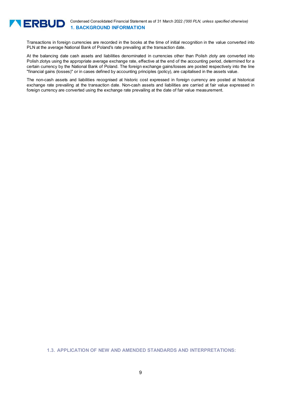

Transactions in foreign currencies are recorded in the books at the time of initial recognition in the value converted into PLN at the average National Bank of Poland's rate prevailing at the transaction date.

At the balancing date cash assets and liabilities denominated in currencies other than Polish zloty are converted into Polish zlotys using the appropriate average exchange rate, effective at the end of the accounting period, determined for a certain currency by the National Bank of Poland. The foreign exchange gains/losses are posted respectively into the line "financial gains (losses)" or in cases defined by accounting principles (policy), are capitalised in the assets value.

The non-cash assets and liabilities recognised at historic cost expressed in foreign currency are posted at historical exchange rate prevailing at the transaction date. Non-cash assets and liabilities are carried at fair value expressed in foreign currency are converted using the exchange rate prevailing at the date of fair value measurement.

**1.3. APPLICATION OF NEW AND AMENDED STANDARDS AND INTERPRETATIONS:**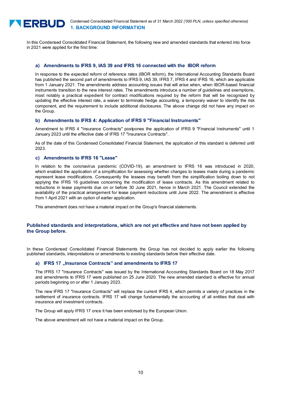

In this Condensed Consolidated Financial Statement, the following new and amended standards that entered into force in 2021 were applied for the first time:

# **a) Amendments to IFRS 9, IAS 39 and IFRS 16 connected with the IBOR reform**

In response to the expected reform of reference rates (IBOR reform), the International Accounting Standards Board has published the second part of amendments to IFRS 9, IAS 39, IFRS 7, IFRS 4 and IFRS 16, which are applicable from 1 January 2021. The amendments address accounting issues that will arise when, when IBOR-based financial instruments transition to the new interest rates. The amendments introduce a number of guidelines and exemptions, most notably a practical expedient for contract modifications required by the reform that will be recognized by updating the effective interest rate, a waiver to terminate hedge accounting, a temporary waiver to identify the risk component, and the requirement to include additional disclosures. The above change did not have any impact on the Group.

#### **b) Amendments to IFRS 4: Application of IFRS 9 "Financial Instruments"**

Amendment to IFRS 4 "Insurance Contracts" postpones the application of IFRS 9 "Financial Instruments" until 1 January 2023 until the effective date of IFRS 17 "Insurance Contracts".

As of the date of this Condensed Consolidated Financial Statement, the application of this standard is deferred until 2023.

#### **c) Amendments to IFRS 16 "Lease"**

In relation to the coronavirus pandemic (COVID-19), an amendment to IFRS 16 was introduced in 2020, which enabled the application of a simplification for assessing whether changes to leases made during a pandemic represent lease modifications. Consequently the lessees may benefit from the simplification boiling down to not applying the IFRS 16 guidelines concerning the modification of lease contracts. As this amendment related to reductions in lease payments due on or before 30 June 2021, hence in March 2021. The Council extended the availability of the practical arrangement for lease payment reductions until June 2022. The amendment is effective from 1 April 2021 with an option of earlier application.

This amendment does not have a material impact on the Group's financial statements.

# **Published standards and interpretations, which are not yet effective and have not been applied by the Group before.**

In these Condensed Consolidated Financial Statements the Group has not decided to apply earlier the following published standards, interpretations or amendments to existing standards before their effective date.

# a) **IFRS 17** "Insurance Contracts" and amendments to IFRS 17

The IFRS 17 "Insurance Contracts" was issued by the International Accounting Standards Board on 18 May 2017 and amendments to IFRS 17 were published on 25 June 2020. The new amended standard is effective for annual periods beginning on or after 1 January 2023.

The new IFRS 17 "Insurance Contracts" will replace the current IFRS 4, which permits a variety of practices in the settlement of insurance contracts. IFRS 17 will change fundamentally the accounting of all entities that deal with insurance and investment contracts.

The Group will apply IFRS 17 once it has been endorsed by the European Union.

The above amendment will not have a material impact on the Group.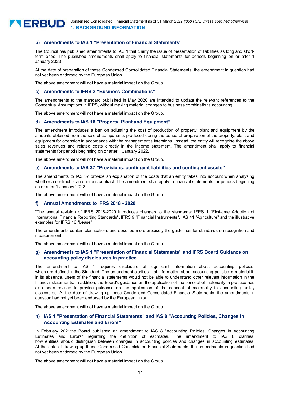

# **b) Amendments to IAS 1 "Presentation of Financial Statements"**

The Council has published amendments to IAS 1 that clarify the issue of presentation of liabilities as long and shortterm ones. The published amendments shall apply to financial statements for periods beginning on or after 1 January 2023.

At the date of preparation of these Condensed Consolidated Financial Statements, the amendment in question had not yet been endorsed by the European Union.

The above amendment will not have a material impact on the Group.

#### **c) Amendments to IFRS 3 "Business Combinations"**

The amendments to the standard published in May 2020 are intended to update the relevant references to the Conceptual Assumptions in IFRS, without making material changes to business combinations accounting.

The above amendment will not have a material impact on the Group.

# **d) Amendments to IAS 16 "Property, Plant and Equipment"**

The amendment introduces a ban on adjusting the cost of production of property, plant and equipment by the amounts obtained from the sale of components produced during the period of preparation of the property, plant and equipment for operation in accordance with the management's intentions. Instead, the entity will recognise the above sales revenues and related costs directly in the income statement. The amendment shall apply to financial statements for periods beginning on or after 1 January 2022.

The above amendment will not have a material impact on the Group.

#### **e) Amendments to IAS 37 "Provisions, contingent liabilities and contingent assets"**

The amendments to IAS 37 provide an explanation of the costs that an entity takes into account when analysing whether a contract is an onerous contract. The amendment shall apply to financial statements for periods beginning on or after 1 January 2022.

The above amendment will not have a material impact on the Group.

#### **f) Annual Amendments to IFRS 2018 - 2020**

"The annual revision of IFRS 2018-2020 introduces changes to the standards: IFRS 1 "First-time Adoption of International Financial Reporting Standards", IFRS 9 "Financial Instruments", IAS 41 "Agriculture" and the illustrative examples for IFRS 16 "Lease".

The amendments contain clarifications and describe more precisely the guidelines for standards on recognition and measurement.

The above amendment will not have a material impact on the Group.

# **g) Amendments to IAS 1 "Presentation of Financial Statements" and IFRS Board Guidance on accounting policy disclosures in practice**

The amendment to IAS 1 requires disclosure of significant information about accounting policies, which are defined in the Standard. The amendment clarifies that information about accounting policies is material if, in its absence, users of the financial statements would not be able to understand other relevant information in the financial statements. In addition, the Board's guidance on the application of the concept of materiality in practice has also been revised to provide guidance on the application of the concept of materiality to accounting policy disclosures. At the date of drawing up these Condensed Consolidated Financial Statements, the amendments in question had not yet been endorsed by the European Union.

The above amendment will not have a material impact on the Group.

# **h) IAS 1 "Presentation of Financial Statements" and IAS 8 "Accounting Policies, Changes in Accounting Estimates and Errors"**

In February 2021the Board published an amendment to IAS 8 "Accounting Policies, Changes in Accounting Estimates and Errors" regarding the definition of estimates. The amendment to IAS 8 clarifies, how entities should distinguish between changes in accounting policies and changes in accounting estimates. At the date of drawing up these Condensed Consolidated Financial Statements, the amendments in question had not yet been endorsed by the European Union.

The above amendment will not have a material impact on the Group.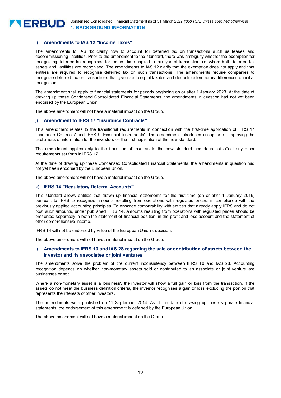

# **i) Amendments to IAS 12 "Income Taxes"**

The amendments to IAS 12 clarify how to account for deferred tax on transactions such as leases and decommissioning liabilities. Prior to the amendment to the standard, there was ambiguity whether the exemption for recognising deferred tax recognised for the first time applied to this type of transaction, i.e. where both deferred tax assets and liabilities are recognised. The amendments to IAS 12 clarify that the exemption does not apply and that entities are required to recognise deferred tax on such transactions. The amendments require companies to recognise deferred tax on transactions that give rise to equal taxable and deductible temporary differences on initial recognition.

The amendment shall apply to financial statements for periods beginning on or after 1 January 2023. At the date of drawing up these Condensed Consolidated Financial Statements, the amendments in question had not yet been endorsed by the European Union.

The above amendment will not have a material impact on the Group.

#### **j) Amendment to IFRS 17 "Insurance Contracts"**

This amendment relates to the transitional requirements in connection with the first-time application of IFRS 17 'Insurance Contracts' and IFRS 9 'Financial Instruments'. The amendment introduces an option of improving the usefulness of information for the investors on the first application of the new standard.

The amendment applies only to the transition of insurers to the new standard and does not affect any other requirements set forth in IFRS 17.

At the date of drawing up these Condensed Consolidated Financial Statements, the amendments in question had not yet been endorsed by the European Union.

The above amendment will not have a material impact on the Group.

# **k) IFRS 14 "Regulatory Deferral Accounts"**

This standard allows entities that drawn up financial statements for the first time (on or after 1 January 2016) pursuant to IFRS to recognize amounts resulting from operations with regulated prices, in compliance with the previously applied accounting principles. To enhance comparability with entities that already apply IFRS and do not post such amounts, under published IFRS 14, amounts resulting from operations with regulated prices should be presented separately in both the statement of financial position, in the profit and loss account and the statement of other comprehensive income.

IFRS 14 will not be endorsed by virtue of the European Union's decision.

The above amendment will not have a material impact on the Group.

# **l) Amendments to IFRS 10 and IAS 28 regarding the sale or contribution of assets between the investor and its associates or joint ventures**

The amendments solve the problem of the current inconsistency between IFRS 10 and IAS 28. Accounting recognition depends on whether non-monetary assets sold or contributed to an associate or joint venture are businesses or not.

Where a non-monetary asset is a 'business', the investor will show a full gain or loss from the transaction. If the assets do not meet the business definition criteria, the investor recognises a gain or loss excluding the portion that represents the interests of other investors.

The amendments were published on 11 September 2014. As of the date of drawing up these separate financial statements, the endorsement of this amendment is deferred by the European Union.

The above amendment will not have a material impact on the Group.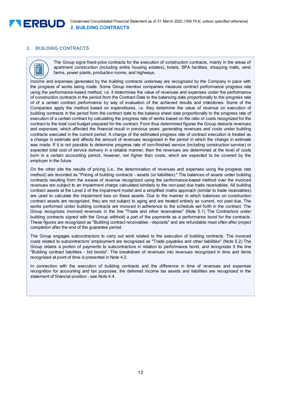

# **2. BUILDING CONTRACTS**



The Group signs fixed-price contracts for the execution of construction contracts, mainly in the areas of apartment construction (including entire housing estates), hotels, SPA facilities, shopping malls, wind farms, power plants, production rooms, and highways.

Income and expenses generated by the building contracts underway are recognized by the Company in pace with the progress of works being made. Some Group member companies measure contract performance progress rate using the performance-based method, i.e. it determines the value of revenues and expenses under the performance of construction contracts in the period from the Contract Date to the balancing date proportionally to the progress rate of of a certain contract performance by way of evaluation of the achieved results and milestones. Some of the Companies apply the method based on expenditures, i.e. they determine the value of revenue on execution of building contracts in the period from the contract date to the balance sheet date proportionally to the progress rate of execution of a certain contract by calculating the progress rate of works based on the ratio of costs recognized for the contract to the total cost budget prepared for the contract. From thus determined figures the Group deducts revenues and expenses, which affected the financial result in previous years, generating revenues and costs under building contracts executed in the current period. A change of the estimated progress rate of contract execution is treated as a change in estimate and affects the amount of revenues recognized in the period in which the change in estimate was made. If it is not possible to determine progress rate of non-finished service (including construction service) or expected total cost of service delivery in a reliable manner, then the revenues are determined at the level of costs born in a certain accounting period, however, not higher than costs, which are expected to be covered by the employer in the future.

On the other site the results of pricing (i.e., the determination of revenues and expenses using the progress rate method) are recorded as "Pricing of building contracts - assets (or liabilities)." The balances of assets under building contracts resulting from the excess of revenue recognized using the performance-based method over the invoiced revenues are subject to an impairment charge calculated similarly to the non-past due trade receivables. All building contract assets at the Level 2 of the impairment model and a simplified matrix approach (similar to trade receivables) are used to calculate the impairment loss on these assets. Due to the manner in which balances on construction contract assets are recognized, they are not subject to aging and are treated entirely as current, not past due. The works performed under building contracts are invoiced in adherence to the schedule set forth in the contract. The Group recognizes invoiced revenues in the line "Trade and other receivables" (Note 5.1) The Contractors under building contracts signed with the Group withhold a part of the payments as a performance bond for the contracts. These figures are recognized as "Building contract receivables - deposits" and are refundable most often after project completion after the end of the guarantee period.

The Group engages subcontractors to carry out work related to the execution of building contracts. The invoiced costs related to subcontractors' employment are recognized as "Trade payables and other liabilities" (Note 5.2) The Group retains a portion of payments to subcontractors in relation to performance bond, and recognizes it the line "Building contract liabilities - bid bonds". The breakdown of revenues into revenues recognized in time and items recognized at point of time is presented in Note 4.2.

In connection with the execution of building contracts and the difference in time of revenues and expenses recognition for accounting and tax purposes, the deferred income tax assets and liabilities are recognized in the statement of financial position - see Note 4.4.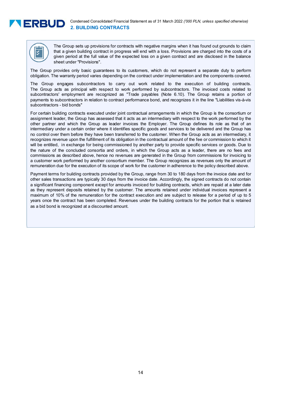



The Group sets up provisions for contracts with negative margins when it has found out grounds to claim that a given building contract in progress will end with a loss. Provisions are charged into the costs of a given period at the full value of the expected loss on a given contract and are disclosed in the balance sheet under "Provisions".

The Group provides only basic guarantees to its customers, which do not represent a separate duty to perform obligation. The warranty period varies depending on the contract under implementation and the components covered.

The Group engages subcontractors to carry out work related to the execution of building contracts. The Group acts as principal with respect to work performed by subcontractors. The invoiced costs related to subcontractors' employment are recognized as "Trade payables (Note 6.10). The Group retains a portion of payments to subcontractors in relation to contract performance bond, and recognizes it in the line "Liabilities vis-à-vis subcontractors - bid bonds"

For certain building contracts executed under joint contractual arrangements in which the Group is the consortium or assignment leader, the Group has assessed that it acts as an intermediary with respect to the work performed by the other partner and which the Group as leader invoices the Employer. The Group defines its role as that of an intermediary under a certain order where it identifies specific goods and services to be delivered and the Group has no control over them before they have been transferred to the customer. When the Group acts as an intermediary, it recognizes revenue upon the fulfillment of its obligation in the contractual amount of the fee or commission to which it will be entitled, in exchange for being commissioned by another party to provide specific services or goods. Due to the nature of the concluded consortia and orders, in which the Group acts as a leader, there are no fees and commissions as described above, hence no revenues are generated in the Group from commissions for invoicing to a customer work performed by another consortium member. The Group recognizes as revenues only the amount of remuneration due for the execution of its scope of work for the customer in adherence to the policy described above.

Payment terms for building contracts provided by the Group, range from 30 to 180 days from the invoice date and for other sales transactions are typically 30 days from the invoice date. Accordingly, the signed contracts do not contain a significant financing component except for amounts invoiced for building contracts, which are repaid at a later date as they represent deposits retained by the customer. The amounts retained under individual invoices represent a maximum of 10% of the remuneration for the contract execution and are subject to release for a period of up to 5 years once the contract has been completed. Revenues under the building contracts for the portion that is retained as a bid bond is recognized at a discounted amount.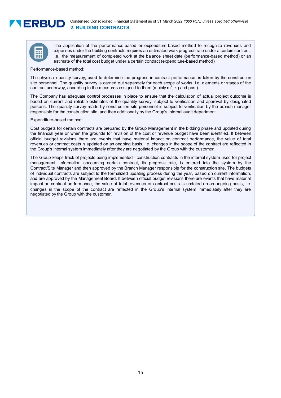# **NERBUD**



The application of the performance-based or expenditure-based method to recognize revenues and expenses under the building contracts requires an estimated work progress rate under a certain contract, i.e., the measurement of completed work at the balance sheet date (performance-based method) or an estimate of the total cost budget under a certain contract (expenditure-based method)

Performance-based method:

The physical quantity survey, used to determine the progress in contract performance, is taken by the construction site personnel. The quantity survey is carried out separately for each scope of works, i.e. elements or stages of the contract underway, according to the measures assigned to them (mainly  $m^2$ , kg and pcs.).

The Company has adequate control processes in place to ensure that the calculation of actual project outcome is based on current and reliable estimates of the quantity survey, subject to verification and approval by designated persons. The quantity survey made by construction site personnel is subject to verification by the branch manager responsible for the construction site, and then additionally by the Group's internal audit department.

#### Expenditure-based method:

Cost budgets for certain contracts are prepared by the Group Management in the bidding phase and updated during the financial year or when the grounds for revision of the cost or revenue budget have been identified. If between official budget revisions there are events that have material impact on contract performance, the value of total revenues or contract costs is updated on an ongoing basis, i.e. changes in the scope of the contract are reflected in the Group's internal system immediately after they are negotiated by the Group with the customer.

The Group keeps track of projects being implemented - construction contracts in the internal system used for project management. Information concerning certain contract, its progress rate, is entered into the system by the Contract/Site Manager and then approved by the Branch Manager responsible for the construction site. The budgets of individual contracts are subject to the formalized updating process during the year, based on current information, and are approved by the Management Board. If between official budget revisions there are events that have material impact on contract performance, the value of total revenues or contract costs is updated on an ongoing basis, i.e. changes in the scope of the contract are reflected in the Group's internal system immediately after they are negotiated by the Group with the customer.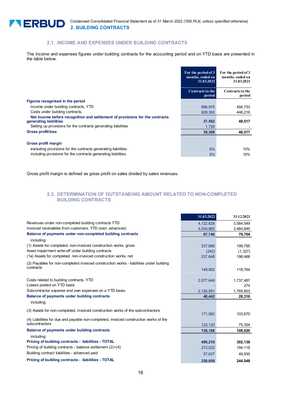

# **2.1. INCOME AND EXPENSES UNDER BUILDING CONTRACTS**

The income and expenses figures under building contracts for the accounting period and on YTD basis are presented in the table below.

|                                                                              | For the period of 3<br>months, ended on<br>31.03.2022 | For the period of 3<br>months, ended on<br>31.03.2021 |
|------------------------------------------------------------------------------|-------------------------------------------------------|-------------------------------------------------------|
|                                                                              | Contracts in the<br>period                            | Contracts in the<br>period                            |
| Figures recognised in the period                                             |                                                       |                                                       |
| Income under building contracts, YTD                                         | 666,975                                               | 494,733                                               |
| Costs under building contracts,                                              | 629,393                                               | 446,216                                               |
| Net income before recognition and settlement of provisions for the contracts |                                                       |                                                       |
| generating liabilities                                                       | 37,582                                                | 48,517                                                |
| Setting up provisions for the contracts generating liabilities               | 1,726                                                 |                                                       |
| <b>Gross profit/loss</b>                                                     | 39,308                                                | 48,517                                                |
|                                                                              |                                                       |                                                       |
| Gross profit margin                                                          |                                                       |                                                       |
| excluding provisions for the contracts generating liabilities                | 6%                                                    | 10%                                                   |
| including provisions for the contracts generating liabilities                | 5%                                                    | 10%                                                   |

Gross profit margin is defined as gross profit on sales divided by sales revenues.

# **2.2. DETERMINATION OF OUTSTANDING AMOUNT RELATED TO NON-COMPLETED BUILDING CONTRACTS**

|                                                                                                         | 31.03.2022 | 31.12.2021 |
|---------------------------------------------------------------------------------------------------------|------------|------------|
| Revenues under non-completed building contracts YTD                                                     | 4,122,628  | 3,564,549  |
| Invoiced receivables from customers, YTD (excl. advances)                                               | 4,034,882  | 3,484,845  |
| Balance of payments under non-completed building contracts                                              | 87,746     | 79,704     |
| including:                                                                                              |            |            |
| (1) Assets for completed, non-invoiced construction works, gross                                        | 237,890    | 199,795    |
| Asset impairment write-off under building contracts                                                     | (242)      | (1,327)    |
| (1a) Assets for completed, non-invoiced construction works, net                                         | 237,648    | 198,468    |
| (2) Payables for non-completed invoiced construction works - liabilities under building                 |            |            |
| contracts                                                                                               | 149,902    | 118,764    |
|                                                                                                         |            |            |
| Costs related to building contracts, YTD                                                                | 2,077,649  | 1,737,487  |
| Losses posted on YTD basis                                                                              |            | 274        |
| Subcontractor expense and own expenses on a YTD basis.                                                  | 2,126,091  | 1,765,803  |
| Balance of payments under building contracts                                                            | 48,442     | 28,316     |
| including:                                                                                              |            |            |
| (3) Assets for non-completed, invoiced construction works of the subcontractors                         |            |            |
|                                                                                                         | 171,562    | 103,670    |
| (4) Liabilities for due and payable non-completed, invoiced construction works of the<br>subcontractors |            |            |
|                                                                                                         | 123,120    | 75,354     |
| Balance of payments under building contracts                                                            | 136,188    | 108,020    |
| including:                                                                                              |            |            |
| Pricing of building contracts - liabilities - TOTAL                                                     | 409,210    | 302,138    |
| Pricing of building contracts - balance settlement $(2)+(4)$                                            | 273,022    | 194,118    |
| Building contract liabilities - advanced paid                                                           | 57,637     | 49,930     |
| Pricing of building contracts - liabilities - TOTAL                                                     | 330,659    | 244,048    |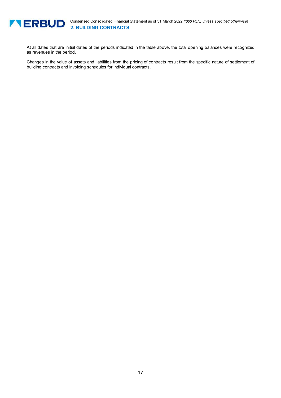

At all dates that are initial dates of the periods indicated in the table above, the total opening balances were recognized as revenues in the period.

Changes in the value of assets and liabilities from the pricing of contracts result from the specific nature of settlement of building contracts and invoicing schedules for individual contracts.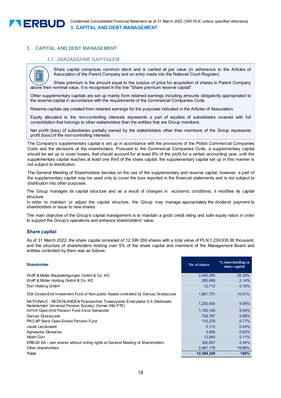

# **3. CAPITAL AND DEBT MANAGEMENT**

#### **3.1. ZARZĄDZANIE KAPITAŁEM**



Share capital comprises common stock and is carried at par value (in adherence to the Articles of Association of the Parent Company and an entry made into the National Court Register).

Share premium is the amount equal to the surplus of price for acquisition of shares in Parent Company above their nominal value. It is recognised in the line "Share premium reserve capital".

Other supplementary capitals are set up mainly from retained earnings including amounts obligatorily appropriated to the reserve capital in accordance with the requirements of the Commercial Companies Code.

Reserve capitals are created from retained earnings for the purposes indicated in the Articles of Association.

Equity allocated to the non-controlling interests represents a part of equities of subsidiaries covered with full consolidation that belongs to other stakeholders than the entities that are Group members.

Net profit (loss) of subsidiaries partially owned by the stakeholders other than members of the Group represents profit (loss) of the non-controlling interests.

The Company's supplementary capital is set up in accordance with the provisions of the Polish Commercial Companies Code and the decisions of the shareholders. Pursuant to the Commercial Companies Code, a supplementary capital should be set up to cover losses, that should account for at least 8% of the profit for a certain accounting year, until the supplementary capital reaches at least one third of the share capital. the supplementary capital set up in this manner is not subject to distribution.

The General Meeting of Shareholders decides on the use of the supplementary and reserve capital, however, a part of the supplementary capital may be used only to cover the loss reported in the financial statements and is not subject to distribution into other purposes.

The Group manages its capital structure and as a result of changes in economic conditions, it modifies its capital structure.

In order to maintain or adjust the capital structure, the Group may manage appropriately the dividend payment to shareholders or issue to new shares.

The main objective of the Group's capital management is to maintain a good credit rating and safe equity ratios in order to support the Group's operations and enhance shareholders' value.

# **Share capital**

As of 31 March 2022, the share capital consisted of 12 399 359 shares with a total value of PLN 1,239,935.90 thousand, and the structure of shareholders holding over 5% of the share capital and members of the Management Board and entities controlled by them was as follows:

| <b>Shareholder</b>                                                                                                                   | No. of shares | $%$ shareholding in<br>share capital |
|--------------------------------------------------------------------------------------------------------------------------------------|---------------|--------------------------------------|
| Wolff & Müller Baubeteiligungen GmbH & Co. KG                                                                                        | 3,645,090     | 29.39%                               |
| Wolff & Müller Holding GmbH & Co. KG                                                                                                 | 265,689       | 2.14%                                |
| Dorr Holding GmbH                                                                                                                    | 12.712        | 0.10%                                |
| DGI Closed-End Investment Fund of Non-public Assets controlled by Dariusz Grzeszczak                                                 | 1,861,731     | 15.01%                               |
| NATIONALE - NEDERLANDEN Powszechne Towarzystwo Emerytalne S.A (Nationale-<br>Nederlanden Universal Pension Society) (former ING PTE) | 1,200,000     | 9.68%                                |
| AVIVA Open-End Pension Fund Aviva Santander                                                                                          | 1, 183, 146   | 9.54%                                |
| Dariusz Grzeszczak                                                                                                                   | 728,787       | 5.88%                                |
| PKO BP Bank Open-Ended Pension Fund                                                                                                  | 715,279       | 5.77%                                |
| Jacek Leczkowski                                                                                                                     | 5,112         | 0.04%                                |
| Agnieszka Głowacka                                                                                                                   | 3.938         | 0.03%                                |
| Albert Dürr                                                                                                                          | 13.840        | 0.11%                                |
| ERBUD SA - own shares without voting rights at General Meeting of Shareholders                                                       | 302,857       | 2.44%                                |
| Other shareholders                                                                                                                   | 2,461,178     | 19.86%                               |
| <b>Total</b>                                                                                                                         | 12,399,359    | 100%                                 |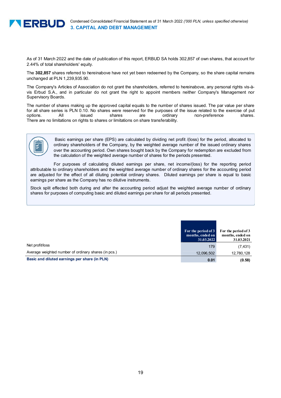

As of 31 March 2022 and the date of publication of this report, ERBUD SA holds 302,857 of own shares, that account for 2.44% of total shareholders' equity.

The **302,857** shares referred to hereinabove have not yet been redeemed by the Company, so the share capital remains unchanged at PLN 1,239,935.90.

The Company's Articles of Association do not grant the shareholders, referred to hereinabove, any personal rights vis-àvis Erbud S.A., and in particular do not grant the right to appoint members neither Company's Management nor Supervisory Boards.

The number of shares making up the approved capital equals to the number of shares issued. The par value per share for all share series is PLN 0.10. No shares were reserved for the purposes of the issue related to the exercise of put options. All issued shares are ordinary non-preference shares. There are no limitations on rights to shares or limitations on share transferability.



L

 Basic earnings per share (EPS) are calculated by dividing net profit /(loss) for the period, allocated to ordinary shareholders of the Company, by the weighted average number of the issued ordinary shares over the accounting period. Own shares bought back by the Company for redemption are excluded from the calculation of the weighted average number of shares for the periods presented.

For purposes of calculating diluted earnings per share, net income/(loss) for the reporting period attributable to ordinary shareholders and the weighted average number of ordinary shares for the accounting period are adjusted for the effect of all diluting potential ordinary shares. Diluted earnings per share is equal to basic earnings per share as the Company has no dilutive instruments.

Stock split effected both during and after the accounting period adjust the weighted average number of ordinary shares for purposes of computing basic and diluted earnings per share for all periods presented.

|                                                      | For the period of 3<br>months, ended on<br>31.03.2022 | For the period of 3<br>months, ended on<br>31.03.2021 |
|------------------------------------------------------|-------------------------------------------------------|-------------------------------------------------------|
| Net profit/loss                                      | 179                                                   | (7, 431)                                              |
| Average weighted number of ordinary shares (in pcs.) | 12.096.502                                            | 12,780,128                                            |
| Basic and diluted earnings per share (in PLN)        | 0.01                                                  | (0.58)                                                |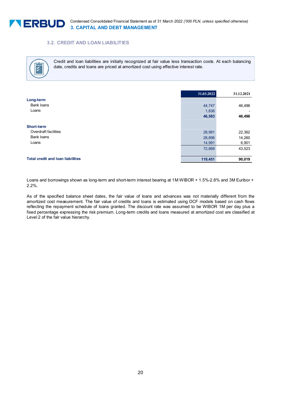

# **3.2. CREDIT AND LOAN LIABILITIES**



Ī

Credit and loan liabilities are initially recognized at fair value less transaction costs. At each balancing date, credits and loans are priced at amortized cost using effective interest rate.

|                                          | 31.03.2022 | 31.12.2021 |
|------------------------------------------|------------|------------|
| Long-term                                |            |            |
| <b>Bank loans</b>                        | 44,747     | 46,496     |
| Loans                                    | 1,836      |            |
|                                          | 46,583     | 46,496     |
| <b>Short-term</b>                        |            |            |
| Overdraft facilities                     | 28,981     | 22,362     |
| <b>Bank loans</b>                        | 28,896     | 14,260     |
| Loans                                    | 14,991     | 6,901      |
|                                          | 72,868     | 43,523     |
| <b>Total credit and loan liabilities</b> | 119,451    | 90,019     |

Loans and borrowings shown as long-term and short-term interest bearing at 1M WIBOR + 1.5%-2.8% and 3M Euribor + 2.2%.

As of the specified balance sheet dates, the fair value of loans and advances was not materially different from the amortized cost measurement. The fair value of credits and loans is estimated using DCF models based on cash flows reflecting the repayment schedule of loans granted. The discount rate was assumed to be WIBOR 1M per day plus a fixed percentage expressing the risk premium. Long-term credits and loans measured at amortized cost are classified at Level 2 of the fair value hierarchy.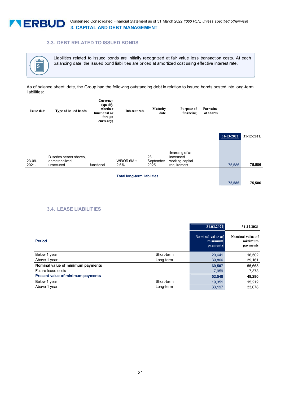

Condensed Consolidated Financial Statement as of 31 March 2022 *('000 PLN, unless specified otherwise)* **3. CAPITAL AND DEBT MANAGEMENT** 

# **3.3. DEBT RELATED TO ISSUED BONDS**



Liabilities related to issued bonds are initially recognized at fair value less transaction costs. At each balancing date, the issued bond liabilities are priced at amortized cost using effective interest rate.

As of balance sheet date, the Group had the following outstanding debt in relation to issued bonds posted into long-term liabilities:

| <b>Issue date</b> | Type of issued bonds                                    | Currency<br>(specify)<br>whether<br>functional or<br>foreign<br>currency) | Interest rate                      | Maturity<br>date        | <b>Purpose of</b><br>financing                                 | Par value<br>of shares |             |                    |
|-------------------|---------------------------------------------------------|---------------------------------------------------------------------------|------------------------------------|-------------------------|----------------------------------------------------------------|------------------------|-------------|--------------------|
|                   |                                                         |                                                                           |                                    |                         |                                                                |                        | 31-03-2022. | $31 - 12 - 2021$ . |
| 23-09-<br>2021.   | D-series bearer shares,<br>dematerialized,<br>unsecured | functional                                                                | WIBOR $6M +$<br>2.6%               | 23<br>September<br>2025 | financing of an<br>increased<br>working capital<br>requirement |                        | 75,586      | 75,586             |
|                   |                                                         |                                                                           | <b>Total long-term liabilities</b> |                         |                                                                |                        | 75,586      | 75,586             |

# **3.4. LEASE LIABILITIES**

|                                   |            | 31.03.2022                                     | 31.12.2021                              |
|-----------------------------------|------------|------------------------------------------------|-----------------------------------------|
| <b>Period</b>                     |            | Nominal value of<br>minimum<br><i>payments</i> | Nominal value of<br>minimum<br>payments |
| Below 1 year                      | Short-term | 20.641                                         | 16,502                                  |
| Above 1 year                      | Long-term  | 39,866                                         | 39,161                                  |
| Nominal value of minimum payments |            | 60,507                                         | 55,663                                  |
| Future lease costs                |            | 7,959                                          | 7,373                                   |
| Present value of minimum payments |            | 52,548                                         | 48,290                                  |
| Below 1 year                      | Short-term | 19,351                                         | 15,212                                  |
| Above 1 year                      | Long-term  | 33.197                                         | 33,078                                  |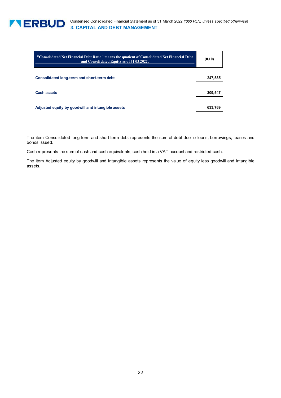

| "Consolidated Net Financial Debt Ratio" means the quotient of Consolidated Net Financial Debt<br>and Consolidated Equity as of 31.03.2022. | (0.10)  |
|--------------------------------------------------------------------------------------------------------------------------------------------|---------|
| Consolidated long-term and short-term debt                                                                                                 | 247,585 |
| <b>Cash assets</b>                                                                                                                         | 309,547 |
| Adjusted equity by goodwill and intangible assets                                                                                          | 633.769 |

The item Consolidated long-term and short-term debt represents the sum of debt due to loans, borrowings, leases and bonds issued.

Cash represents the sum of cash and cash equivalents, cash held in a VAT account and restricted cash.

The item Adjusted equity by goodwill and intangible assets represents the value of equity less goodwill and intangible assets.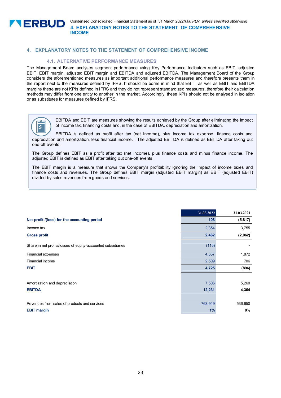

Condensed Consolidated Financial Statement as of 31 March 2022*(000 PLN, unless specified otherwise)* **4. EXPLANATORY NOTES TO THE STATEMENT OF COMPREHENSIVE INCOME** 

# **4. EXPLANATORY NOTES TO THE STATEMENT OF COMPREHENSIVE INCOME**

# **4.1. ALTERNATIVE PERFORMANCE MEASURES**

The Management Board analyses segment performance using Key Performance Indicators such as EBIT, adjusted EBIT, EBIT margin, adjusted EBIT margin and EBITDA and adjusted EBITDA. The Management Board of the Group considers the aforementioned measures as important additional performance measures and therefore presents them in the report next to the measures defined by IFRS. It should be borne in mind that EBIT, as well as EBIT and EBITDA margins these are not KPIs defined in IFRS and they do not represent standardized measures, therefore their calculation methods may differ from one entity to another in the market. Accordingly, these KPIs should not be analysed in isolation or as substitutes for measures defined by IFRS.



EBITDA and EBIT are measures showing the results achieved by the Group after eliminating the impact of income tax, financing costs and, in the case of EBITDA, depreciation and amortization.

EBITDA is defined as profit after tax (net income), plus income tax expense, finance costs and depreciation and amortization, less financial income. . The adjusted EBITDA is defined as EBITDA after taking out one-off events.

The Group defines EBIT as a profit after tax (net income), plus finance costs and minus finance income. The adjusted EBIT is defined as EBIT after taking out one-off events.

The EBIT margin is a measure that shows the Company's profitability ignoring the impact of income taxes and finance costs and revenues. The Group defines EBIT margin (adjusted EBIT margin) as EBIT (adjusted EBIT) divided by sales revenues from goods and services.

|                                                              | 31.03.2022 | 31.03.2021 |
|--------------------------------------------------------------|------------|------------|
| Net profit /(loss) for the accounting period                 | 108        | (5, 817)   |
| Income tax                                                   | 2,354      | 3,755      |
| <b>Gross profit</b>                                          | 2,462      | (2,062)    |
| Share in net profits/losses of equity-accounted subsidiaries | (115)      |            |
| Financial expenses                                           | 4,657      | 1,872      |
| Financial income                                             | 2,509      | 706        |
| <b>EBIT</b>                                                  | 4,725      | (896)      |
|                                                              |            |            |
| Amortization and depreciation                                | 7,506      | 5,260      |
| <b>EBITDA</b>                                                | 12,231     | 4,364      |
|                                                              |            |            |
| Revenues from sales of products and services                 | 763,949    | 536,650    |
| <b>EBIT margin</b>                                           | $1\%$      | 0%         |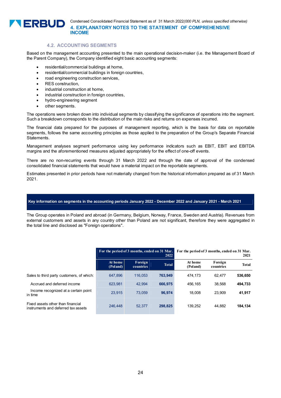

Condensed Consolidated Financial Statement as of 31 March 2022*(000 PLN, unless specified otherwise)* **4. EXPLANATORY NOTES TO THE STATEMENT OF COMPREHENSIVE INCOME** 

# **4.2. ACCOUNTING SEGMENTS**

Based on the management accounting presented to the main operational decision-maker (i.e. the Management Board of the Parent Company), the Company identified eight basic accounting segments:

- residential/commercial buildings at home,
- residential/commercial buildings in foreign countries,
- road engineering construction services,
- RES construction,
- industrial construction at home,
- industrial construction in foreign countries,
- hydro-engineering segment
- other segments.

The operations were broken down into individual segments by classifying the significance of operations into the segment. Such a breakdown corresponds to the distribution of the main risks and returns on expenses incurred.

The financial data prepared for the purposes of management reporting, which is the basis for data on reportable segments, follows the same accounting principles as those applied to the preparation of the Group's Separate Financial Statements.

Management analyses segment performance using key performance indicators such as EBIT, EBIT and EBITDA margins and the aforementioned measures adjusted appropriately for the effect of one-off events.

There are no non-recurring events through 31 March 2022 and through the date of approval of the condensed consolidated financial statements that would have a material impact on the reportable segments.

Estimates presented in prior periods have not materially changed from the historical information prepared as of 31 March 2021.

#### **Key information on segments in the accounting periods January 2022 - December 2022 and January 2021 - March 2021**

The Group operates in Poland and abroad (in Germany, Belgium, Norway, France, Sweden and Austria). Revenues from external customers and assets in any country other than Poland are not significant, therefore they were aggregated in the total line and disclosed as "Foreign operations".

|                                                                          | For the period of 3 months, ended on 31 Mar.<br>2022 |                             |              | For the period of 3 months, ended on 31 Mar. |                      | 2021         |
|--------------------------------------------------------------------------|------------------------------------------------------|-----------------------------|--------------|----------------------------------------------|----------------------|--------------|
|                                                                          | At home<br>(Poland)                                  | Foreign<br><b>countries</b> | <b>Total</b> | At home<br>(Poland)                          | Foreign<br>countries | <b>Total</b> |
| Sales to third party customers, of which:                                | 647.896                                              | 116.053                     | 763.949      | 474.173                                      | 62.477               | 536,650      |
| Accrued and deferred income                                              | 623.981                                              | 42.994                      | 666,975      | 456.165                                      | 38.568               | 494,733      |
| Income recognized at a certain point<br>in time                          | 23.915                                               | 73.059                      | 96,974       | 18.008                                       | 23.909               | 41,917       |
| Fixed assets other than financial<br>instruments and deferred tax assets | 246,448                                              | 52,377                      | 298,825      | 139.252                                      | 44.882               | 184,134      |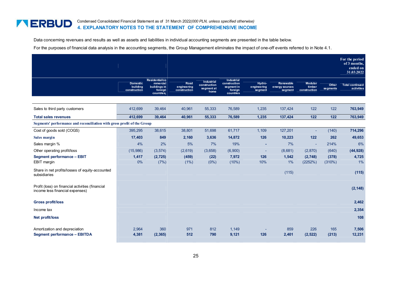#### **TERBUD** Condensed Consolidated Financial Statement as of 31 March 2022*(000 PLN, unless specified otherwise)***4. EXPLANATORY NOTES TO THE STATEMENT OF COMPREHENSIVE INCOME**

Data concerning revenues and results as well as assets and liabilities in individual accounting segments are presented in the table below.

For the purposes of financial data analysis in the accounting segments, the Group Management eliminates the impact of one-off events referred to in Note 4.1.

|                                                                                     |                                             |                                                                     |                                     |                                                  |                                                                  |                                  |                                        |                                          |                   | For the period<br>of 3 months,<br>ended on<br>31.03.2022 |
|-------------------------------------------------------------------------------------|---------------------------------------------|---------------------------------------------------------------------|-------------------------------------|--------------------------------------------------|------------------------------------------------------------------|----------------------------------|----------------------------------------|------------------------------------------|-------------------|----------------------------------------------------------|
|                                                                                     | <b>Domestic</b><br>building<br>construction | Residential/co<br>mmercial<br>buildings in<br>foreign<br>countries, | Road<br>engineering<br>construction | Industrial<br>construction<br>segment at<br>home | Industrial<br>construction<br>segment in<br>foreign<br>countries | Hydro-<br>engineering<br>segment | Renewable<br>energy sources<br>segment | <b>Modular</b><br>timber<br>construction | Other<br>segments | <b>Total continued</b><br>activities                     |
|                                                                                     |                                             |                                                                     |                                     |                                                  |                                                                  |                                  |                                        |                                          |                   |                                                          |
| Sales to third party customers                                                      | 412,699                                     | 39,464                                                              | 40,961                              | 55,333                                           | 76,589                                                           | 1,235                            | 137,424                                | 122                                      | $122$             | 763,949                                                  |
| <b>Total sales revenues</b>                                                         | 412,699                                     | 39,464                                                              | 40,961                              | 55,333                                           | 76,589                                                           | 1,235                            | 137,424                                | $\overline{122}$                         | $\overline{122}$  | 763,949                                                  |
| Segments' performance and reconciliation with gross profit of the Group             |                                             |                                                                     |                                     |                                                  |                                                                  |                                  |                                        |                                          |                   |                                                          |
| Cost of goods sold (COGS)                                                           | 395,295                                     | 38,615                                                              | 38,801                              | 51,698                                           | 61,717                                                           | 1,109                            | 127,201                                | ٠                                        | (140)             | 714,296                                                  |
| Sales margin                                                                        | 17,403                                      | 849                                                                 | 2,160                               | 3,636                                            | 14,872                                                           | 126                              | 10,223                                 | 122                                      | 262               | 49,653                                                   |
| Sales margin %                                                                      | 4%                                          | 2%                                                                  | 5%                                  | 7%                                               | 19%                                                              | ٠                                | 7%                                     | $\sim$                                   | 214%              | 6%                                                       |
| Other operating profit/loss                                                         | (15,986)                                    | (3,574)                                                             | (2,619)                             | (3,658)                                          | (6,900)                                                          | $\sim$                           | (8,681)                                | (2,870)                                  | (640)             | (44, 928)                                                |
| <b>Segment performance - EBIT</b>                                                   | 1,417                                       | (2, 725)                                                            | (459)                               | (22)                                             | 7,972                                                            | 126                              | 1,542                                  | (2,748)                                  | (378)             | 4,725                                                    |
| EBIT margin                                                                         | 0%                                          | (7%)                                                                | (1%)                                | (0%)                                             | (10%)                                                            | 10%                              | 1%                                     | (2252%)                                  | (310%)            | $1\%$                                                    |
| Share in net profits/losses of equity-accounted<br>subsidiaries                     |                                             |                                                                     |                                     |                                                  |                                                                  |                                  | (115)                                  |                                          |                   | (115)                                                    |
| Profit (loss) on financial activities (financial<br>income less financial expenses) |                                             |                                                                     |                                     |                                                  |                                                                  |                                  |                                        |                                          |                   | (2, 148)                                                 |
| <b>Gross profit/loss</b>                                                            |                                             |                                                                     |                                     |                                                  |                                                                  |                                  |                                        |                                          |                   | 2,462                                                    |
| Income tax                                                                          |                                             |                                                                     |                                     |                                                  |                                                                  |                                  |                                        |                                          |                   | 2,354                                                    |
| Net profit/loss                                                                     |                                             |                                                                     |                                     |                                                  |                                                                  |                                  |                                        |                                          |                   | 108                                                      |
| Amortization and depreciation                                                       | 2,964                                       | 360                                                                 | 971                                 | 812                                              | 1,149                                                            |                                  | 859                                    | 226                                      | 165               | 7,506                                                    |
| <b>Segment performance - EBITDA</b>                                                 | 4,381                                       | (2, 365)                                                            | 512                                 | 790                                              | 9,121                                                            | 126                              | 2,401                                  | (2, 522)                                 | (213)             | 12,231                                                   |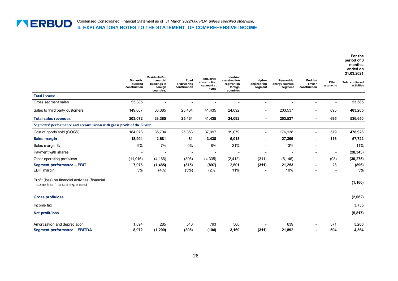

|                                                                                     |                                      |                                                                     |                                     |                                                  |                                                                  |                                  |                                        |                                   |                          | For the<br>period of 3<br>months.<br>ended on<br>31.03.2021 |
|-------------------------------------------------------------------------------------|--------------------------------------|---------------------------------------------------------------------|-------------------------------------|--------------------------------------------------|------------------------------------------------------------------|----------------------------------|----------------------------------------|-----------------------------------|--------------------------|-------------------------------------------------------------|
|                                                                                     | Domestic<br>building<br>construction | Residential/co<br>mmercial<br>buildings in<br>foreign<br>countries, | Road<br>engineering<br>construction | Industrial<br>construction<br>segment at<br>home | Industrial<br>construction<br>segment in<br>foreign<br>countries | Hydro-<br>engineering<br>segment | Renewable<br>energy sources<br>segment | Modular<br>timber<br>construction | Other<br>segments        | Total continued<br>activities                               |
| <b>Total income</b>                                                                 |                                      |                                                                     |                                     |                                                  |                                                                  |                                  |                                        |                                   |                          |                                                             |
| Cross segment sales                                                                 | 53,385                               |                                                                     |                                     |                                                  |                                                                  |                                  |                                        |                                   |                          | 53,385                                                      |
| Sales to third party customers                                                      | 149,687                              | 38,385                                                              | 25,434                              | 41,435                                           | 24,092                                                           | $\overline{\phantom{a}}$         | 203,537                                |                                   | 695                      | 483,265                                                     |
| <b>Total sales revenues</b>                                                         | 203,072                              | 38,385                                                              | 25,434                              | 41,435                                           | 24,092                                                           | $\blacksquare$                   | 203,537                                | $\sim$                            | 695                      | 536,650                                                     |
| Segments' performance and reconciliation with gross profit of the Group             |                                      |                                                                     |                                     |                                                  |                                                                  |                                  |                                        |                                   |                          |                                                             |
| Cost of goods sold (COGS)                                                           | 184,078                              | 35,704                                                              | 25,353                              | 37,997                                           | 19,079                                                           | $\overline{\phantom{a}}$         | 176,138                                |                                   | 579                      | 478,928                                                     |
| Sales margin                                                                        | 18,994                               | 2,681                                                               | 81                                  | 3,438                                            | 5,013                                                            | $\blacksquare$                   | 27,399                                 |                                   | 116                      | 57,722                                                      |
| Sales margin %                                                                      | 9%                                   | 7%                                                                  | 0%                                  | 8%                                               | 21%                                                              |                                  | 13%                                    |                                   |                          | 11%                                                         |
| Payment with shares                                                                 |                                      |                                                                     |                                     |                                                  |                                                                  |                                  |                                        |                                   | $\overline{\phantom{a}}$ | (28, 343)                                                   |
| Other operating profit/loss                                                         | (11, 916)                            | (4, 166)                                                            | (896)                               | (4, 335)                                         | (2, 412)                                                         | (311)                            | (6, 146)                               |                                   | (93)                     | (30, 275)                                                   |
| Segment performance - EBIT<br>EBIT margin                                           | 7,078<br>3%                          | (1,485)<br>(4% )                                                    | (815)<br>(3%)                       | (897)<br>(2%)                                    | 2,601<br>11%                                                     | (311)                            | 21,253<br>10%                          |                                   | 23<br>$\blacksquare$     | (896)<br>5%                                                 |
| Profit (loss) on financial activities (financial<br>income less financial expenses) |                                      |                                                                     |                                     |                                                  |                                                                  |                                  |                                        |                                   |                          | (1, 166)                                                    |
| <b>Gross profit/loss</b>                                                            |                                      |                                                                     |                                     |                                                  |                                                                  |                                  |                                        |                                   |                          | (2,062)                                                     |
| Income tax                                                                          |                                      |                                                                     |                                     |                                                  |                                                                  |                                  |                                        |                                   |                          | 3,755                                                       |
| Net profit/loss                                                                     |                                      |                                                                     |                                     |                                                  |                                                                  |                                  |                                        |                                   |                          | (5, 817)                                                    |
| Amortization and depreciation<br><b>Segment performance - EBITDA</b>                | 1,894<br>8,972                       | 285<br>(1, 200)                                                     | 510<br>(305)                        | 793<br>(104)                                     | 568<br>3,169                                                     | (311)                            | 639<br>21,892                          |                                   | 571<br>594               | 5,260<br>4,364                                              |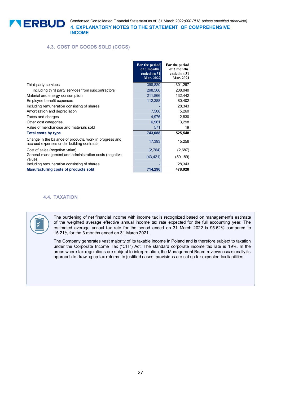

# **4.3. COST OF GOODS SOLD (COGS)**

|                                                                                                      | For the period<br>of 3 months,<br>ended on 31<br><b>Mar. 2022</b> | For the period<br>of 3 months,<br>ended on 31<br>Mar. 2021 |
|------------------------------------------------------------------------------------------------------|-------------------------------------------------------------------|------------------------------------------------------------|
| Third party services                                                                                 | 398,820                                                           | 301,297                                                    |
| including third party services from subcontractors                                                   | 298,566                                                           | 208,040                                                    |
| Material and energy consumption                                                                      | 211,866                                                           | 132,442                                                    |
| Employee benefit expenses                                                                            | 112,388                                                           | 80,402                                                     |
| Including remuneration consisting of shares                                                          |                                                                   | 28,343                                                     |
| Amortization and depreciation                                                                        | 7,506                                                             | 5,260                                                      |
| Taxes and charges                                                                                    | 4,976                                                             | 2,830                                                      |
| Other cost categories                                                                                | 6,961                                                             | 3,298                                                      |
| Value of merchandise and materials sold                                                              | 571                                                               | 19                                                         |
| Total costs by type                                                                                  | 743,088                                                           | 525,548                                                    |
| Change in the balance of products, work in progress and<br>accrued expenses under building contracts | 17,393                                                            | 15,256                                                     |
| Cost of sales (negative value)                                                                       | (2,764)                                                           | (2,687)                                                    |
| General management and administration costs (negative<br>value)                                      | (43, 421)                                                         | (59, 189)                                                  |
| Including remuneration consisting of shares                                                          |                                                                   | 28,343                                                     |
| Manufacturing costs of products sold                                                                 | 714,296                                                           | 478,928                                                    |

# **4.4. TAXATION**



The burdening of net financial income with income tax is recognized based on management's estimate of the weighted average effective annual income tax rate expected for the full accounting year. The estimated average annual tax rate for the period ended on 31 March 2022 is 95.62% compared to 15.21% for the 3 months ended on 31 March 2021.

The Company generates vast majority of its taxable income in Poland and is therefore subject to taxation under the Corporate Income Tax ("CIT") Act. The standard corporate income tax rate is 19%. In the areas where tax regulations are subject to interpretation, the Management Board reviews occasionally its approach to drawing up tax returns. In justified cases, provisions are set up for expected tax liabilities.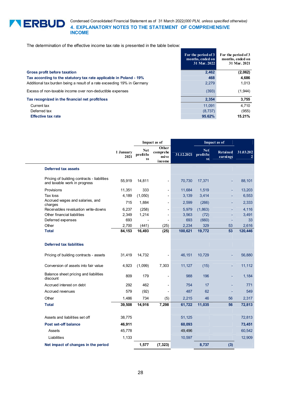

# Condensed Consolidated Financial Statement as of 31 March 2022*(000 PLN, unless specified otherwise)* **4. EXPLANATORY NOTES TO THE STATEMENT OF COMPREHENSIVE INCOME**

The determination of the effective income tax rate is presented in the table below:

|                                                                         | For the period of 3<br>months, ended on<br>31 Mar. 2022 | For the period of 3<br>months, ended on<br>31 Mar. 2021 |
|-------------------------------------------------------------------------|---------------------------------------------------------|---------------------------------------------------------|
| <b>Gross profit before taxation</b>                                     | 2,462                                                   | (2,062)                                                 |
| Tax according to the statutory tax rate applicable in Poland - 19%      | 468                                                     | 4,686                                                   |
| Additional tax burden being a result of a rate exceeding 19% in Germany | 2.279                                                   | 1.013                                                   |
| Excess of non-taxable income over non-deductible expenses               | (393)                                                   | (1,944)                                                 |
| Tax recognized in the financial net profit/loss                         | 2,354                                                   | 3,755                                                   |
| Current tax                                                             | 11.091                                                  | 4.710                                                   |
| Deferred tax                                                            | (8,737)                                                 | (955)                                                   |
| <b>Effective tax rate</b>                                               | 95.62%                                                  | 15.21%                                                  |

|                                                                             |                   | Impact as of                         |                                              |                  | <b>Impact as of</b>                  |                             |                  |
|-----------------------------------------------------------------------------|-------------------|--------------------------------------|----------------------------------------------|------------------|--------------------------------------|-----------------------------|------------------|
|                                                                             | 1 January<br>2021 | <b>Net</b><br>profit/lo<br><b>SS</b> | Other<br>comprehe<br><i>nsi</i> ve<br>income | 31.12.2021       | <b>Net</b><br>profit/lo<br><b>SS</b> | <b>Retained</b><br>earnings | 31.03.202<br>2   |
| <b>Deferred tax assets</b>                                                  |                   |                                      |                                              |                  |                                      |                             |                  |
| Pricing of building contracts - liabilities<br>and taxable work in progress | 55,919            | 14,811                               | $\overline{\phantom{0}}$                     | 70,730           | 17,371                               |                             | 88,101           |
| Provisions                                                                  | 11,351            | 333                                  | $\overline{a}$                               | 11,684           | 1,519                                | ۳                           | 13,203           |
| Tax loss                                                                    | 4,189             | (1,050)                              | $\overline{\phantom{a}}$                     | 3,139            | 3,414                                |                             | 6,553            |
| Accrued wages and salaries, and<br>charges                                  | 715               | 1,884                                | ٠                                            | 2,599            | (266)                                |                             | 2,333            |
| Receivables revaluation write-downs                                         | 6,237             | (258)                                |                                              | 5,979            | (1,863)                              |                             | 4,116            |
| Other financial liabilities                                                 | 2,349             | 1,214                                | $\blacksquare$                               | 3,563            | (72)                                 |                             | 3,491            |
| Deferred expenses                                                           | 693               |                                      |                                              | 693              | (660)                                |                             | 33               |
| Other                                                                       | 2,700<br>84,153   | (441)<br>16,493                      | (25)<br>(25)                                 | 2,234<br>100,621 | 329<br>19,772                        | 53<br>53                    | 2,616<br>120,446 |
| Deferred tax liabilities                                                    |                   |                                      |                                              |                  |                                      |                             |                  |
| Pricing of building contracts - assets                                      | 31,419            | 14,732                               |                                              | 46,151           | 10,729                               |                             | 56,880           |
| Conversion of assets into fair value                                        | 4,923             | (1,099)                              | 7,303                                        | 11,127           | (15)                                 | ä,                          | 11,112           |
| Balance sheet pricing and liabilities<br>discount                           | 809               | 179                                  | $\overline{\phantom{a}}$                     | 988              | 196                                  |                             | 1,184            |
| Accrued interest on debt                                                    | 292               | 462                                  | $\overline{a}$                               | 754              | 17                                   | ÷                           | 771              |
| Accrued revenues                                                            | 579               | (92)                                 |                                              | 487              | 62                                   |                             | 549              |
| Other                                                                       | 1,486             | 734                                  | (5)                                          | 2,215            | 46                                   | 56                          | 2,317            |
| <b>Total</b>                                                                | 39,508            | 14,916                               | 7,298                                        | 61,722           | 11,035                               | 56                          | 72,813           |
| Assets and liabilities set off                                              | 38,775            |                                      |                                              | 51,125           |                                      |                             | 72,813           |
| Post set-off balance                                                        | 46,911            |                                      |                                              | 60,093           |                                      |                             | 73,451           |
| Assets                                                                      | 45,778            |                                      |                                              | 49,496           |                                      |                             | 60,542           |
| Liabilities                                                                 | 1,133             |                                      |                                              | 10,597           |                                      |                             | 12,909           |
| Net impact of changes in the period                                         |                   | 1,577                                | (7, 323)                                     |                  | 8,737                                | (3)                         |                  |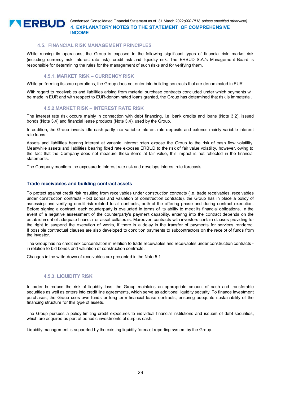

Condensed Consolidated Financial Statement as of 31 March 2022*(000 PLN, unless specified otherwise)* **4. EXPLANATORY NOTES TO THE STATEMENT OF COMPREHENSIVE INCOME** 

# **4.5. FINANCIAL RISK MANAGEMENT PRINCIPLES**

While running its operations, the Group is exposed to the following significant types of financial risk: market risk (including currency risk, interest rate risk), credit risk and liquidity risk. The ERBUD S.A.'s Management Board is responsible for determining the rules for the management of such risks and for verifying them.

# **4.5.1. MARKET RISK – CURRENCY RISK**

While performing its core operations, the Group does not enter into building contracts that are denominated in EUR.

With regard to receivables and liabilities arising from material purchase contracts concluded under which payments will be made in EUR and with respect to EUR-denominated loans granted, the Group has determined that risk is immaterial.

#### **4.5.2.MARKET RISK – INTEREST RATE RISK**

The interest rate risk occurs mainly in connection with debt financing, i.e. bank credits and loans (Note 3.2), issued bonds (Note 3.4) and financial lease products (Note 3.4), used by the Group.

In addition, the Group invests idle cash partly into variable interest rate deposits and extends mainly variable interest rate loans.

Assets and liabilities bearing interest at variable interest rates expose the Group to the risk of cash flow volatility. Meanwhile assets and liabilities bearing fixed rate exposes ERBUD to the risk of fair value volatility, however, owing to the fact that the Company does not measure these items at fair value, this impact is not reflected in the financial statements.

The Company monitors the exposure to interest rate risk and develops interest rate forecasts.

# **Trade receivables and building contract assets**

To protect against credit risk resulting from receivables under construction contracts (i.e. trade receivables, receivables under construction contracts - bid bonds and valuation of construction contracts), the Group has in place a policy of assessing and verifying credit risk related to all contracts, both at the offering phase and during contract execution. Before signing a contract, each counterparty is evaluated in terms of its ability to meet its financial obligations. In the event of a negative assessment of the counterparty's payment capability, entering into the contract depends on the establishment of adequate financial or asset collaterals. Moreover, contracts with investors contain clauses providing for the right to suspend the execution of works, if there is a delay in the transfer of payments for services rendered. If possible contractual clauses are also developed to condition payments to subcontractors on the receipt of funds from the investor.

The Group has no credit risk concentration in relation to trade receivables and receivables under construction contracts in relation to bid bonds and valuation of construction contracts.

Changes in the write-down of receivables are presented in the Note 5.1.

# **4.5.3. LIQUIDITY RISK**

In order to reduce the risk of liquidity loss, the Group maintains an appropriate amount of cash and transferable securities as well as enters into credit line agreements, which serve as additional liquidity security. To finance investment purchases, the Group uses own funds or long-term financial lease contracts, ensuring adequate sustainability of the financing structure for this type of assets.

The Group pursues a policy limiting credit exposures to individual financial institutions and issuers of debt securities, which are acquired as part of periodic investments of surplus cash.

Liquidity management is supported by the existing liquidity forecast reporting system by the Group.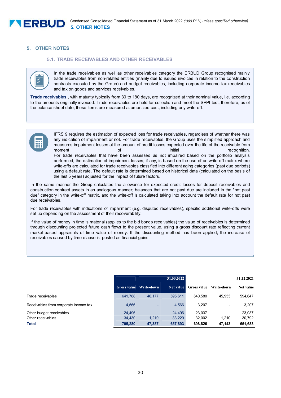

# **5. OTHER NOTES**

# **5.1. TRADE RECEIVABLES AND OTHER RECEIVABLES**



In the trade receivables as well as other receivables category the ERBUD Group recognised mainly trade receivables from non-related entities (mainly due to issued invoices in relation to the construction contracts executed by the Group) and budget receivables, including corporate income tax receivables and tax on goods and services receivables.

**Trade receivables** , with maturity typically from 30 to 180 days, are recognized at their nominal value, i.e. according to the amounts originally invoiced. Trade receivables are held for collection and meet the SPPI test, therefore, as of the balance sheet date, these items are measured at amortized cost, including any write-off.



IFRS 9 requires the estimation of expected loss for trade receivables, regardless of whether there was any indication of impairment or not. For trade receivables, the Group uses the simplified approach and measures impairment losses at the amount of credit losses expected over the life of the receivable from moment the contract of the contract of the initial recognition. For trade receivables that have been assessed as not impaired based on the portfolio analysis performed, the estimation of impairment losses, if any, is based on the use of an write-off matrix where write-offs are calculated for trade receivables classified into different aging categories (past due periods) using a default rate. The default rate is determined based on historical data (calculated on the basis of the last 5 years) adjusted for the impact of future factors.

In the same manner the Group calculates the allowance for expected credit losses for deposit receivables and construction contract assets in an analogous manner; balances that are not past due are included in the "not past due" category in the write-off matrix, and the write-off is calculated taking into account the default rate for not past due receivables.

For trade receivables with indications of impairment (e.g. disputed receivables), specific additional write-offs were set up depending on the assessment of their recoverability.

If the value of money in time is material (applies to the bid bonds receivables) the value of receivables is determined through discounting projected future cash flows to the present value, using a gross discount rate reflecting current market-based appraisals of time value of money. If the discounting method has been applied, the increase of receivables caused by time elapse is posted as financial gains.

|                                       |                    |            | 31.03.2022 |             |            | 31.12.2021 |  |
|---------------------------------------|--------------------|------------|------------|-------------|------------|------------|--|
|                                       | <b>Gross value</b> | Write-down | Net value  | Gross value | Write-down | Net value  |  |
| Trade receivables                     | 641.788            | 46.177     | 595.611    | 640.580     | 45.933     | 594.647    |  |
| Receivables from corporate income tax | 4,566              |            | 4,566      | 3,207       | ۰          | 3,207      |  |
| Other budget receivables              | 24.496             |            | 24.496     | 23,037      | ٠          | 23,037     |  |
| Other receivables                     | 34,430             | 1,210      | 33,220     | 32,002      | 1,210      | 30,792     |  |
| <b>Total</b>                          | 705.280            | 47,387     | 657,893    | 698.826     | 47.143     | 651,683    |  |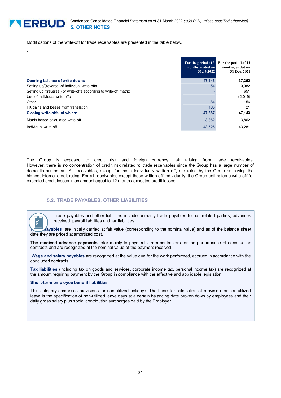

Modifications of the write-off for trade receivables are presented in the table below.

|                                                                    | For the period of 3<br>months, ended on<br>31.03.2022 | For the period of 12<br>months, ended on<br>31 Dec. 2021 |
|--------------------------------------------------------------------|-------------------------------------------------------|----------------------------------------------------------|
| Opening balance of write-downs                                     | 47.143                                                | 37,352                                                   |
| Setting up/(reversal) of individual write-offs                     | 54                                                    | 10,982                                                   |
| Setting up /(reversal) of write-offs according to write-off matrix |                                                       | 651                                                      |
| Use of individual write-offs                                       |                                                       | (2,019)                                                  |
| Other                                                              | 84                                                    | 156                                                      |
| FX gains and losses from translation                               | 106                                                   | 21                                                       |
| Closing write-offs, of which:                                      | 47,387                                                | 47,143                                                   |
| Matrix-based calculated write-off                                  | 3,862                                                 | 3,862                                                    |
| Individual write-off                                               | 43.525                                                | 43.281                                                   |

The Group is exposed to credit risk and foreign currency risk arising from trade receivables. However, there is no concentration of credit risk related to trade receivables since the Group has a large number of domestic customers. All receivables, except for those individually written off, are rated by the Group as having the highest internal credit rating. For all receivables except those written-off individually, the Group estimates a write off for expected credit losses in an amount equal to 12 months expected credit losses.

# **5.2. TRADE PAYABLES, OTHER LIABILITIES**



.

Trade payables and other liabilities include primarily trade payables to non-related parties, advances received, payroll liabilities and tax liabilities.

**Trade payables** are initially carried at fair value (corresponding to the nominal value) and as of the balance sheet date they are priced at amortized cost.

**The received advance payments** refer mainly to payments from contractors for the performance of construction contracts and are recognized at the nominal value of the payment received.

**Wage and salary payables** are recognized at the value due for the work performed, accrued in accordance with the concluded contracts.

**Tax liabilities** (including tax on goods and services, corporate income tax, personal income tax) are recognized at the amount requiring payment by the Group in compliance with the effective and applicable legislation.

#### **Short-term employee benefit liabilities**

This category comprises provisions for non-utilized holidays. The basis for calculation of provision for non-utilized leave is the specification of non-utilized leave days at a certain balancing date broken down by employees and their daily gross salary plus social contribution surcharges paid by the Employer.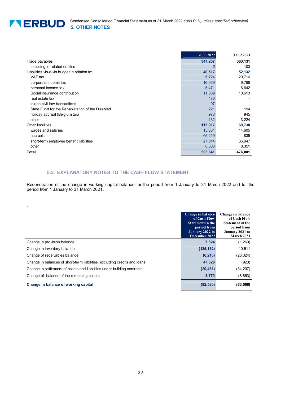

.

|                                                   | 31.03.2022 | 31.12.2021 |
|---------------------------------------------------|------------|------------|
| Trade payables                                    | 347,207    | 363,131    |
| including to related entities                     | 2          | 103        |
| Liabilities vis-à-vis budget in relation to:      | 40,517     | 52,132     |
| VAT tax                                           | 5,724      | 20,716     |
| corporate income tax                              | 16,029     | 9,798      |
| personal income tax                               | 5,471      | 6,642      |
| Social insurance contribution                     | 11,389     | 10,613     |
| real estate tax                                   | 476        |            |
| tax on civil law transactions                     | 97         |            |
| State Fund for the Rehabilitation of the Disabled | 221        | 194        |
| holiday accrual (Belgium tax)                     | 978        | 945        |
| other                                             | 132        | 3,224      |
| Other liabilities                                 | 115,917    | 60,738     |
| wages and salaries                                | 15,381     | 14,605     |
| accruals                                          | 65,219     | 835        |
| short-term employee benefit liabilities           | 27,014     | 36,947     |
| other                                             | 8,303      | 8,351      |
| <b>Total</b>                                      | 503,641    | 476,001    |

# **5.3. EXPLANATORY NOTES TO THE CASH FLOW STATEMENT**

Reconciliation of the change in working capital balance for the period from 1 January to 31 March 2022 and for the period from 1 January to 31 March 2021.

|                                                                           | Change in balance<br>of Cash Flow<br><b>Statement in the</b><br>period from<br>January 2022 to<br>December 2022 | Change in balance<br>of Cash Flow<br><b>Statement in the</b><br>period from<br>January 2021 to<br><b>March 2021</b> |
|---------------------------------------------------------------------------|-----------------------------------------------------------------------------------------------------------------|---------------------------------------------------------------------------------------------------------------------|
| Change in provision balance                                               | 7,824                                                                                                           | (1,260)                                                                                                             |
| Change in inventory balance                                               | (125, 132)                                                                                                      | 10,511                                                                                                              |
| Change of receivables balance                                             | (6, 210)                                                                                                        | (28, 324)                                                                                                           |
| Change in balances of short-term liabilities, excluding credits and loans | 47,629                                                                                                          | (923)                                                                                                               |
| Change in settlement of assets and liabilities under building contracts   | (20, 461)                                                                                                       | (34, 207)                                                                                                           |
| Change of balance of the remaining assets                                 | 3,770                                                                                                           | (8,863)                                                                                                             |
| Change in balance of working capital                                      | (92, 580)                                                                                                       | (63,066)                                                                                                            |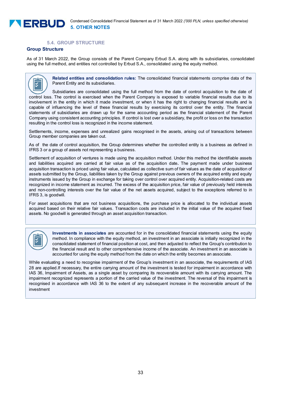# **5.4. GROUP STRUCTURE**

# **Group Structure**

As of 31 March 2022, the Group consists of the Parent Company Erbud S.A. along with its subsidiaries, consolidated using the full method, and entities not controlled by Erbud S.A., consolidated using the equity method.



**Related entities and consolidation rules:** The consolidated financial statements comprise data of the Parent Entity and its subsidiaries.

Subsidiaries are consolidated using the full method from the date of control acquisition to the date of control loss. The control is exercised when the Parent Company is exposed to variable financial results due to its involvement in the entity in which it made investment, or when it has the right to changing financial results and is capable of influencing the level of these financial results by exercising its control over the entity. The financial statements of subsidiaries are drawn up for the same accounting period as the financial statement of the Parent Company using consistent accounting principles. If control is lost over a subsidiary, the profit or loss on the transaction resulting in the control loss is recognized in the income statement.

Settlements, income, expenses and unrealized gains recognised in the assets, arising out of transactions between Group member companies are taken out.

As of the date of control acquisition, the Group determines whether the controlled entity is a business as defined in IFRS 3 or a group of assets not representing a business.

Settlement of acquisition of ventures is made using the acquisition method. Under this method the identifiable assets and liabilities acquired are carried at fair value as of the acquisition date**.** The payment made under business acquisition transaction is priced using fair value, calculated as collective sum of fair values as the date of acquisition of assets submitted by the Group, liabilities taken by the Group against previous owners of the acquired entity and equity instruments issued by the Group in exchange for taking over control over acquired entity. Acquisition-related costs are recognized in income statement as incurred. The excess of the acquisition price, fair value of previously held interests and non-controlling interests over the fair value of the net assets acquired, subject to the exceptions referred to in IFRS 3, is goodwill.

For asset acquisitions that are not business acquisitions, the purchase price is allocated to the individual assets acquired based on their relative fair values. Transaction costs are included in the initial value of the acquired fixed assets. No goodwill is generated through an asset acquisition transaction.



**Investments in associates** are accounted for in the consolidated financial statements using the equity method. In compliance with the equity method, an investment in an associate is initially recognized in the consolidated statement of financial position at cost, and then adjusted to reflect the Group's contribution to the financial result and to other comprehensive income of the associate. An investment in an associate is accounted for using the equity method from the date on which the entity becomes an associate.

While evaluating a need to recognise impairment of the Group's investment in an associate, the requirements of IAS 28 are applied.If necessary, the entire carrying amount of the investment is tested for impairment in accordance with IAS 36, Impairment of Assets, as a single asset by comparing its recoverable amount with its carrying amount. The impairment recognized represents a portion of the carried value of the investment. The reversal of this impairment is recognised in accordance with IAS 36 to the extent of any subsequent increase in the recoverable amount of the investment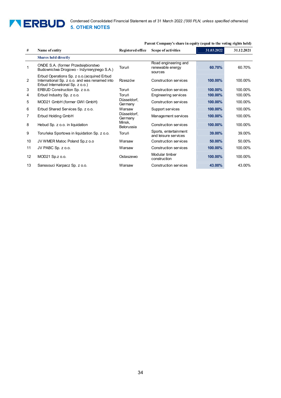

|                 |                                                                                                                                 | $\cdots$ $\cdots$ $\cdots$ $\cdots$ $\cdots$ $\cdots$ $\cdots$ $\cdots$ $\cdots$ $\cdots$ $\cdots$ $\cdots$ $\cdots$ $\cdots$ $\cdots$ $\cdots$ $\cdots$ |                                                     |            |            |  |
|-----------------|---------------------------------------------------------------------------------------------------------------------------------|----------------------------------------------------------------------------------------------------------------------------------------------------------|-----------------------------------------------------|------------|------------|--|
| #               | Name of entity                                                                                                                  | Registered office                                                                                                                                        | Scope of activities                                 | 31.03.2022 | 31.12.2021 |  |
|                 | <b>Shares held directly</b>                                                                                                     |                                                                                                                                                          |                                                     |            |            |  |
|                 | ONDE S.A. (former Przedsiębiorstwo<br>Budownictwa Drogowo - Inżynieryjnego S.A.)                                                | Toruń                                                                                                                                                    | Road engineering and<br>renewable energy<br>sources | 60.70%     | 60.70%     |  |
| 2               | Erbud Operations Sp. z o.o. (acquired Erbud<br>International Sp. z o.o. and was renamed into<br>Erbud International Sp. z o.o.) | Rzeszów                                                                                                                                                  | Construction services                               | 100.00%    | 100.00%    |  |
| 3               | ERBUD Construction Sp. z o.o.                                                                                                   | Toruń                                                                                                                                                    | Construction services                               | 100.00%    | 100.00%    |  |
| 4               | Erbud Industry Sp. z o.o.                                                                                                       | Toruń                                                                                                                                                    | Engineering services                                | 100.00%    | 100.00%    |  |
| 5               | MOD21 GmbH (former GWI GmbH)                                                                                                    | Düsseldorf,<br>Germany                                                                                                                                   | Construction services                               | 100.00%    | 100.00%    |  |
| 6               | Erbud Shared Services Sp. z o.o.                                                                                                | Warsaw                                                                                                                                                   | Support services                                    | 100.00%    | 100.00%    |  |
| 7               | Erbud Holding GmbH                                                                                                              | Düsseldorf,<br>Germany                                                                                                                                   | Management services                                 | 100.00%    | 100.00%    |  |
| 8               | Hebud Sp. z o.o. in liquidation                                                                                                 | Minsk,<br>Belorussia                                                                                                                                     | Construction services                               | 100.00%    | 100.00%    |  |
| 9               | Toruńska Sportowa in liquidation Sp. z o.o.                                                                                     | Toruń                                                                                                                                                    | Sports, entertainment<br>and leisure services       | 39.00%     | 39.00%     |  |
| 10 <sup>°</sup> | JV WMER Matoc Poland Sp.z o.o                                                                                                   | Warsaw                                                                                                                                                   | Construction services                               | 50.00%     | 50.00%     |  |
| 11              | JV PABC Sp. z o.o.                                                                                                              | Warsaw                                                                                                                                                   | Construction services                               | 100.00%    | 100.00%    |  |
| 12              | MOD21 Sp.z o.o.                                                                                                                 | Ostaszewo                                                                                                                                                | Modular timber<br>construction                      | 100.00%    | 100.00%    |  |
| 13              | Sanssouci Karpacz Sp. z o.o.                                                                                                    | Warsaw                                                                                                                                                   | Construction services                               | 43.00%     | 43.00%     |  |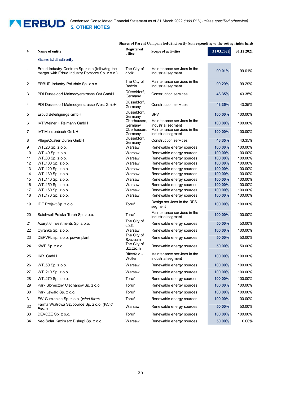

# **Shares of Parent Company held indirectly (corresponding to the voting rights held)**

| #              | Name of entity                                                                                     | <b>Registered</b><br>office | <b>Scope of activities</b>                        | 31.03.2022 | 31.12.2021 |
|----------------|----------------------------------------------------------------------------------------------------|-----------------------------|---------------------------------------------------|------------|------------|
|                | <b>Shares held indirectly</b>                                                                      |                             |                                                   |            |            |
| 1              | Erbud Industry Centrum Sp. z o.o. (following the<br>merger with Erbud Industry Pomorze Sp. z o.o.) | The City of<br>Łódź         | Maintenance services in the<br>industrial segment | 99.01%     | 99.01%     |
| $\overline{c}$ | ERBUD Industry Południe Sp. z o.o.                                                                 | The City of<br>Będzin       | Maintenance services in the<br>industrial segment | 99.29%     | 99.29%     |
| 3              | PDI Dusseldorf Malmedyerstrasse Ost GmbH                                                           | Düsseldorf,<br>Germany      | <b>Construction services</b>                      | 43.35%     | 43.35%     |
| 4              | PDI Dusseldorf Malmedyerstrasse West GmbH                                                          | Düsseldorf,<br>Germany      | <b>Construction services</b>                      | 43.35%     | 43.35%     |
| 5              | Erbud Beteiligungs GmbH                                                                            | Düsseldorf.<br>Germany      | SPV                                               | 100.00%    | 100.00%    |
| 6              | IVT Weiner + Reimann GmbH                                                                          | Oberhausen,<br>Germany      | Maintenance services in the<br>industrial segment | 100.00%    | 100.00%    |
| 7              | <b>IVT Menzenbach GmbH</b>                                                                         | Oberhausen,<br>Germany      | Maintenance services in the<br>industrial segment | 100.00%    | 100.00%    |
| 8              | PflegeQuatier Düren GmbH                                                                           | Düsseldorf,<br>Germany      | Construction services                             | 43.35%     | 43.35%     |
| 9              | WTL20 Sp. z o.o.                                                                                   | Warsaw                      | Renewable energy sources                          | 100.00%    | 100.00%    |
| 10             | WTL40 Sp. z o.o.                                                                                   | Warsaw                      | Renewable energy sources                          | 100.00%    | 100.00%    |
| 11             | WTL80 Sp. z o.o.                                                                                   | Warsaw                      | Renewable energy sources                          | 100.00%    | 100.00%    |
| 12             | WTL100 Sp. z o.o.                                                                                  | Warsaw                      | Renewable energy sources                          | 100.00%    | 100.00%    |
| 13             | WTL120 Sp. z o.o.                                                                                  | Warsaw                      | Renewable energy sources                          | 100.00%    | 100.00%    |
| 14             | WTL130 Sp. z o.o.                                                                                  | Warsaw                      | Renewable energy sources                          | 100.00%    | 100.00%    |
| 15             | WTL140 Sp. z o.o.                                                                                  | Warsaw                      | Renewable energy sources                          | 100.00%    | 100.00%    |
| 16             | WTL150 Sp. z o.o.                                                                                  | Warsaw                      | Renewable energy sources                          | 100.00%    | 100.00%    |
| 17             | WTL160 Sp. z o.o.                                                                                  | Warsaw                      | Renewable energy sources                          | 100.00%    | 100.00%    |
| 18             | WTL170 Sp. z o.o.                                                                                  | Warsaw                      | Renewable energy sources                          | 100.00%    | 100.00%    |
| 19             | IDE Projekt Sp. z o.o.                                                                             | Toruń                       | Design services in the RES<br>segment             | 100.00%    | 100.00%    |
| 20             | Satchwell Polska Toruń Sp. z o.o.                                                                  | Toruń                       | Maintenance services in the<br>industrial segment | 100.00%    | 100.00%    |
| 21             | Azuryt 6 Investments Sp. z o.o.                                                                    | The City of<br>Łódź         | Renewable energy sources                          | 50.00%     | 50.00%     |
| 22             | Cyranka Sp. z o.o.                                                                                 | Warsaw                      | Renewable energy sources                          | 100.00%    | 100.00%    |
| 23             | DEPVPL sp. z o.o. power plant                                                                      | The City of<br>Szczecin     | Renewable energy sources                          | 50.00%     | 50.00%     |
| 24             | KWE Sp. z o.o.                                                                                     | The City of<br>Szczecin     | Renewable energy sources                          | 50.00%     | 50.00%     |
| 25             | <b>IKR GmbH</b>                                                                                    | Bitterfeld -<br>Wolfen      | Maintenance services in the<br>industrial segment | 100.00%    | 100.00%    |
| 26             | WTL50 Sp. z o.o.                                                                                   | Warsaw                      | Renewable energy sources                          | 100.00%    | 100.00%    |
| 27             | WTL210 Sp. z o.o.                                                                                  | Warsaw                      | Renewable energy sources                          | 100.00%    | 100.00%    |
| 28             | WTL270 Sp. z o.o.                                                                                  | Toruń                       | Renewable energy sources                          | 100.00%    | 100.00%    |
| 29             | Park Słoneczny Ciechanów Sp. z o.o.                                                                | Toruń                       | Renewable energy sources                          | 100.00%    | 100.00%    |
| 30             | Park Lewald Sp. z o.o.                                                                             | Toruń                       | Renewable energy sources                          | 100.00%    | 100.00%    |
| 31             | FW Gumienice Sp. z o.o. (wind farm)                                                                | Toruń                       | Renewable energy sources                          | 100.00%    | 100.00%    |
| 32             | Farma Wiatrowa Szybowice Sp. z o.o. (Wind<br>Farm)                                                 | Warsaw                      | Renewable energy sources                          | 50.00%     | 50.00%     |
| 33             | DEVOZE Sp. z o.o.                                                                                  | Toruń                       | Renewable energy sources                          | 100.00%    | 100.00%    |
| 34             | Neo Solar Kazimierz Biskupi Sp. z o.o.                                                             | Warsaw                      | Renewable energy sources                          | 50.00%     | 0.00%      |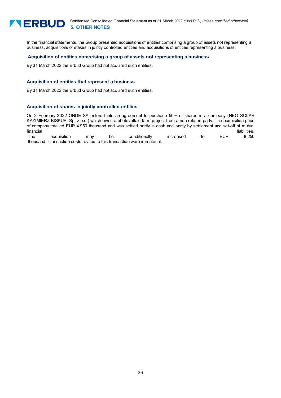

Condensed Consolidated Financial Statement as of 31 March 2022 *('000 PLN, unless specified otherwise)* **5. OTHER NOTES** 

In the financial statements, the Group presented acquisitions of entities comprising a group of assets not representing a business, acquisitions of stakes in jointly controlled entities and acquisitions of entities representing a business.

#### **Acquisition of entities comprising a group of assets not representing a business**

By 31 March 2022 the Erbud Group had not acquired such entities.

#### **Acquisition of entities that represent a business**

By 31 March 2022 the Erbud Group had not acquired such entities.

# **Acquisition of shares in jointly controlled entities**

On 2 February 2022 ONDE SA entered into an agreement to purchase 50% of shares in a company (NEO SOLAR KAZIMIERZ BISKUPI Sp. z o.o.) which owns a photovoltaic farm project from a non-related party. The acquisition price of company totalled EUR 4.950 thousand and was settled partly in cash and partly by settlement and set-off of mutual financial liabilities.

 The acquisition may be conditionally increased to EUR 8,250 thousand. Transaction costs related to this transaction were immaterial.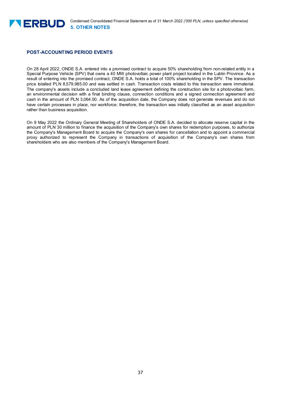

# **POST-ACCOUNTING PERIOD EVENTS**

On 28 April 2022, ONDE S.A. entered into a promised contract to acquire 50% shareholding from non-related entity in a Special Purpose Vehicle (SPV) that owns a 40 MW photovoltaic power plant project located in the Lublin Province. As a result of entering into the promised contract, ONDE S.A. holds a total of 100% shareholding in the SPV. The transaction price totalled PLN 8,579,985.00 and was settled in cash. Transaction costs related to this transaction were immaterial. The company's assets include a concluded land lease agreement defining the construction site for a photovoltaic farm, an environmental decision with a final binding clause, connection conditions and a signed connection agreement and cash in the amount of PLN 3,064.00. As of the acquisition date, the Company does not generate revenues and do not have certain processes in place, nor workforce; therefore, the transaction was initially classified as an asset acquisition rather than business acquisition.

On 9 May 2022 the Ordinary General Meeting of Shareholders of ONDE S.A. decided to allocate reserve capital in the amount of PLN 30 million to finance the acquisition of the Company's own shares for redemption purposes, to authorize the Company's Management Board to acquire the Company's own shares for cancellation and to appoint a commercial proxy authorized to represent the Company in transactions of acquisition of the Company's own shares from shareholders who are also members of the Company's Management Board.